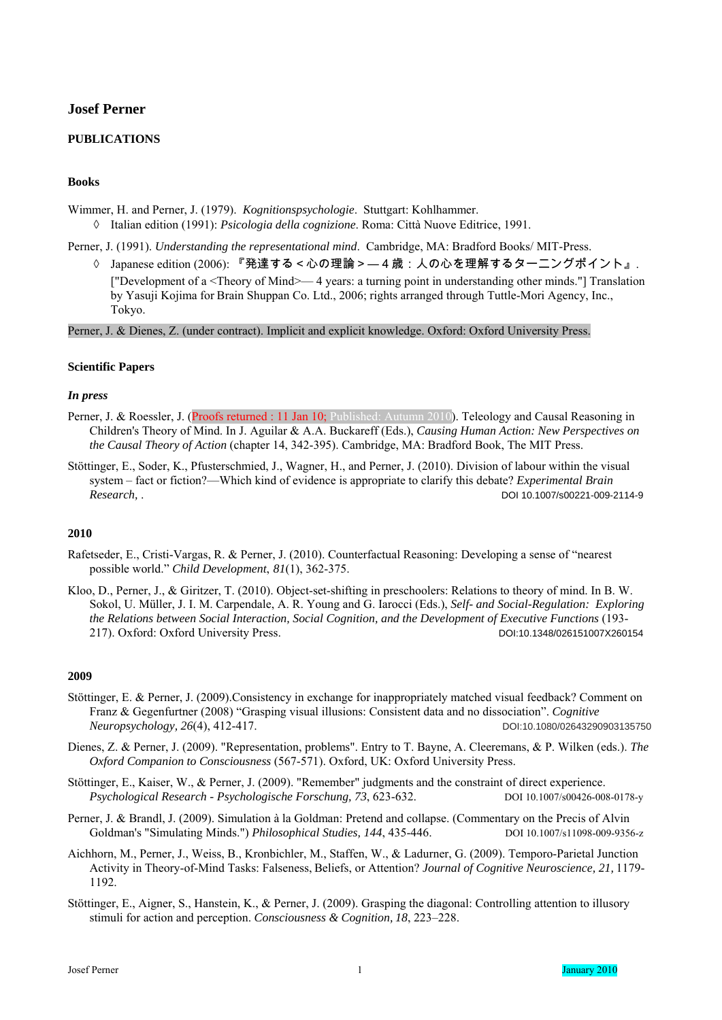# **Josef Perner**

# **PUBLICATIONS**

### **Books**

Wimmer, H. and Perner, J. (1979). *Kognitionspsychologie*. Stuttgart: Kohlhammer.

◊ Italian edition (1991): *Psicologia della cognizione*. Roma: Città Nuove Editrice, 1991.

Perner, J. (1991). *Understanding the representational mind*. Cambridge, MA: Bradford Books/ MIT-Press.

◊ Japanese edition (2006): 『発達する<心の理論>―4歳:人の心を理解するターニングポイント』. ["Development of a <Theory of Mind>— 4 years: a turning point in understanding other minds."] Translation by Yasuji Kojima for Brain Shuppan Co. Ltd., 2006; rights arranged through Tuttle-Mori Agency, Inc., Tokyo.

Perner, J. & Dienes, Z. (under contract). Implicit and explicit knowledge. Oxford: Oxford University Press.

#### **Scientific Papers**

#### *In press*

- Perner, J. & Roessler, J. (Proofs returned : 11 Jan 10; Published: Autumn 2010). Teleology and Causal Reasoning in Children's Theory of Mind. In J. Aguilar & A.A. Buckareff (Eds.), *Causing Human Action: New Perspectives on the Causal Theory of Action* (chapter 14, 342-395). Cambridge, MA: Bradford Book, The MIT Press.
- Stöttinger, E., Soder, K., Pfusterschmied, J., Wagner, H., and Perner, J. (2010). Division of labour within the visual system – fact or fiction?—Which kind of evidence is appropriate to clarify this debate? *Experimental Brain Research,* . DOI 10.1007/s00221-009-2114-9

### **2010**

- Rafetseder, E., Cristi-Vargas, R. & Perner, J. (2010). Counterfactual Reasoning: Developing a sense of "nearest possible world." *Child Development*, *81*(1), 362-375.
- Kloo, D., Perner, J., & Giritzer, T. (2010). Object-set-shifting in preschoolers: Relations to theory of mind. In B. W. Sokol, U. Müller, J. I. M. Carpendale, A. R. Young and G. Iarocci (Eds.), *Self- and Social-Regulation: Exploring the Relations between Social Interaction, Social Cognition, and the Development of Executive Functions* (193- 217). Oxford: Oxford University Press. DOI:10.1348/026151007X260154

- Stöttinger, E. & Perner, J. (2009).Consistency in exchange for inappropriately matched visual feedback? Comment on Franz & Gegenfurtner (2008) "Grasping visual illusions: Consistent data and no dissociation". *Cognitive Neuropsychology, 26*(4), 412-417. DOI:10.1080/02643290903135750
- Dienes, Z. & Perner, J. (2009). "Representation, problems". Entry to T. Bayne, A. Cleeremans, & P. Wilken (eds.). *The Oxford Companion to Consciousness* (567-571). Oxford, UK: Oxford University Press.
- Stöttinger, E., Kaiser, W., & Perner, J. (2009). "Remember" judgments and the constraint of direct experience. *Psychological Research - Psychologische Forschung, 73*, 623-632. DOI 10.1007/s00426-008-0178-y
- Perner, J. & Brandl, J. (2009). Simulation à la Goldman: Pretend and collapse. (Commentary on the Precis of Alvin Goldman's "Simulating Minds.") *Philosophical Studies, 144*, 435-446. DOI 10.1007/s11098-009-9356-z
- Aichhorn, M., Perner, J., Weiss, B., Kronbichler, M., Staffen, W., & Ladurner, G. (2009). Temporo-Parietal Junction Activity in Theory-of-Mind Tasks: Falseness, Beliefs, or Attention? *Journal of Cognitive Neuroscience, 21,* 1179- 1192.
- Stöttinger, E., Aigner, S., Hanstein, K., & Perner, J. (2009). Grasping the diagonal: Controlling attention to illusory stimuli for action and perception. *Consciousness & Cognition, 18*, 223–228.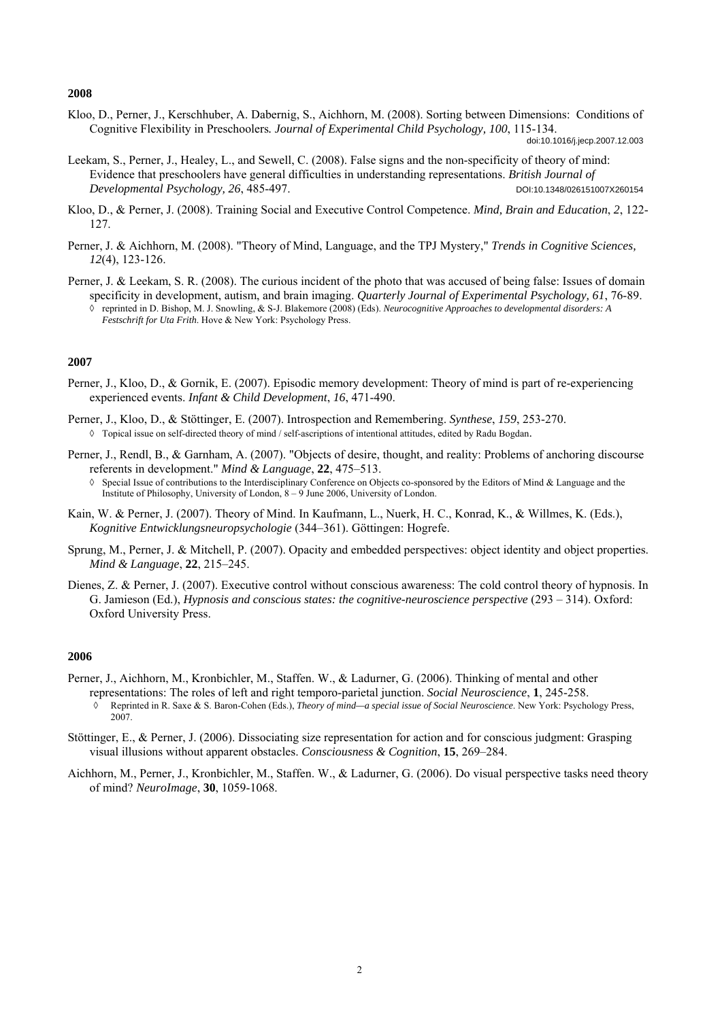Kloo, D., Perner, J., Kerschhuber, A. Dabernig, S., Aichhorn, M. (2008). Sorting between Dimensions: Conditions of Cognitive Flexibility in Preschoolers*. Journal of Experimental Child Psychology, 100*, 115-134.

- Leekam, S., Perner, J., Healey, L., and Sewell, C. (2008). False signs and the non-specificity of theory of mind: Evidence that preschoolers have general difficulties in understanding representations. *British Journal of Developmental Psychology, 26*, 485-497. DOI:10.1348/026151007X260154
- Kloo, D., & Perner, J. (2008). Training Social and Executive Control Competence. *Mind, Brain and Education*, *2*, 122- 127.
- Perner, J. & Aichhorn, M. (2008). "Theory of Mind, Language, and the TPJ Mystery," *Trends in Cognitive Sciences, 12*(4), 123-126.
- Perner, J. & Leekam, S. R. (2008). The curious incident of the photo that was accused of being false: Issues of domain specificity in development, autism, and brain imaging. *Quarterly Journal of Experimental Psychology, 61*, 76-89. ◊ reprinted in D. Bishop, M. J. Snowling, & S-J. Blakemore (2008) (Eds). *Neurocognitive Approaches to developmental disorders: A Festschrift for Uta Frith*. Hove & New York: Psychology Press.

#### **2007**

- Perner, J., Kloo, D., & Gornik, E. (2007). Episodic memory development: Theory of mind is part of re-experiencing experienced events. *Infant & Child Development*, *16*, 471-490.
- Perner, J., Kloo, D., & Stöttinger, E. (2007). Introspection and Remembering. *Synthese*, *159*, 253-270. ◊ Topical issue on self-directed theory of mind / self-ascriptions of intentional attitudes, edited by Radu Bogdan.
- Perner, J., Rendl, B., & Garnham, A. (2007). "Objects of desire, thought, and reality: Problems of anchoring discourse referents in development." *Mind & Language*, **22**, 475–513.
	- Special Issue of contributions to the Interdisciplinary Conference on Objects co-sponsored by the Editors of Mind & Language and the Institute of Philosophy, University of London, 8 – 9 June 2006, University of London.
- Kain, W. & Perner, J. (2007). Theory of Mind. In Kaufmann, L., Nuerk, H. C., Konrad, K., & Willmes, K. (Eds.), *Kognitive Entwicklungsneuropsychologie* (344–361). Göttingen: Hogrefe.
- Sprung, M., Perner, J. & Mitchell, P. (2007). Opacity and embedded perspectives: object identity and object properties. *Mind & Language*, **22**, 215–245.
- Dienes, Z. & Perner, J. (2007). Executive control without conscious awareness: The cold control theory of hypnosis. In G. Jamieson (Ed.), *Hypnosis and conscious states: the cognitive-neuroscience perspective* (293 – 314). Oxford: Oxford University Press.

- Perner, J., Aichhorn, M., Kronbichler, M., Staffen. W., & Ladurner, G. (2006). Thinking of mental and other representations: The roles of left and right temporo-parietal junction. *Social Neuroscience*, **1**, 245-258.
	- ◊ Reprinted in R. Saxe & S. Baron-Cohen (Eds.), *Theory of mind—a special issue of Social Neuroscience*. New York: Psychology Press, 2007.
- Stöttinger, E., & Perner, J. (2006). Dissociating size representation for action and for conscious judgment: Grasping visual illusions without apparent obstacles. *Consciousness & Cognition*, **15**, 269–284.
- Aichhorn, M., Perner, J., Kronbichler, M., Staffen. W., & Ladurner, G. (2006). Do visual perspective tasks need theory of mind? *NeuroImage*, **30**, 1059-1068.

doi:10.1016/j.jecp.2007.12.003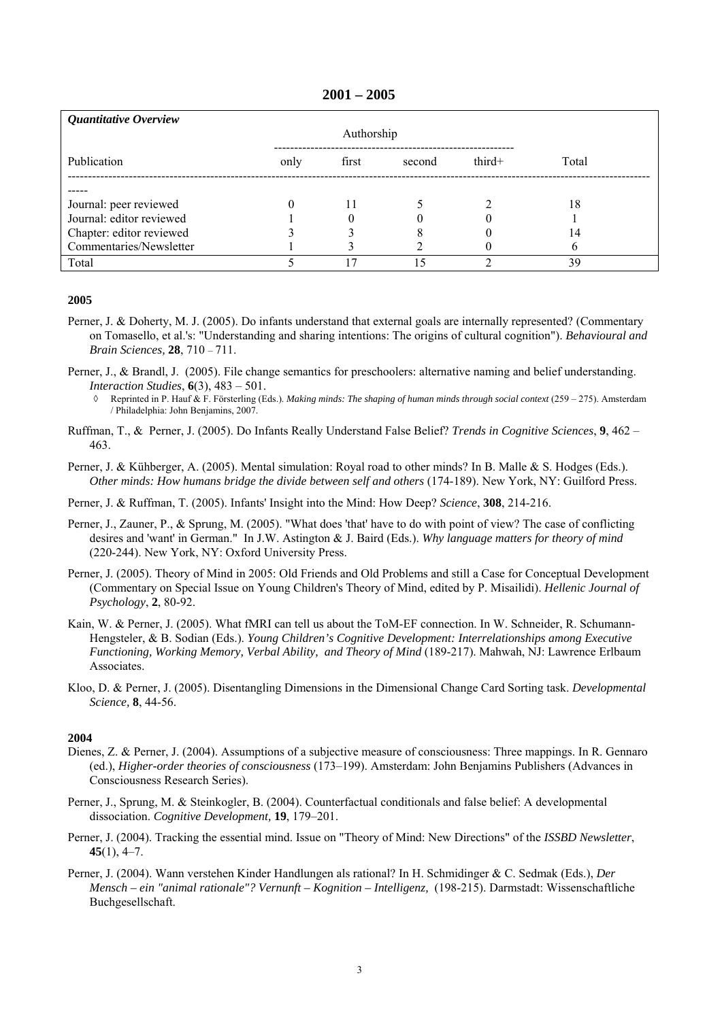#### **2001 – 2005**

| Quantitative Overview    |      |            |        |          |       |  |
|--------------------------|------|------------|--------|----------|-------|--|
|                          |      | Authorship |        |          |       |  |
| Publication              | only | first      | second | $third+$ | Total |  |
|                          |      |            |        |          |       |  |
| Journal: peer reviewed   | 0    | 11         |        |          | 18    |  |
| Journal: editor reviewed |      | O          |        |          |       |  |
| Chapter: editor reviewed |      |            |        |          | 14    |  |
| Commentaries/Newsletter  |      |            |        |          | b     |  |
| Total                    |      | 17         | 5      |          | 39    |  |

#### **2005**

- Perner, J. & Doherty, M. J. (2005). Do infants understand that external goals are internally represented? (Commentary on Tomasello, et al.'s: "Understanding and sharing intentions: The origins of cultural cognition"). *Behavioural and Brain Sciences,* **28**, 710 – 711.
- Perner, J., & Brandl, J. (2005). File change semantics for preschoolers: alternative naming and belief understanding. *Interaction Studies*, **6**(3), 483 – 501.
	- ◊ Reprinted in P. Hauf & F. Försterling (Eds.). *Making minds: The shaping of human minds through social context* (259 275). Amsterdam / Philadelphia: John Benjamins, 2007.
- Ruffman, T., & Perner, J. (2005). Do Infants Really Understand False Belief? *Trends in Cognitive Sciences*, **9**, 462 463.
- Perner, J. & Kühberger, A. (2005). Mental simulation: Royal road to other minds? In B. Malle & S. Hodges (Eds.). *Other minds: How humans bridge the divide between self and others* (174-189). New York, NY: Guilford Press.
- Perner, J. & Ruffman, T. (2005). Infants' Insight into the Mind: How Deep? *Science*, **308**, 214-216.
- Perner, J., Zauner, P., & Sprung, M. (2005). "What does 'that' have to do with point of view? The case of conflicting desires and 'want' in German." In J.W. Astington & J. Baird (Eds.). *Why language matters for theory of mind* (220-244). New York, NY: Oxford University Press.
- Perner, J. (2005). Theory of Mind in 2005: Old Friends and Old Problems and still a Case for Conceptual Development (Commentary on Special Issue on Young Children's Theory of Mind, edited by P. Misailidi). *Hellenic Journal of Psychology*, **2**, 80-92.
- Kain, W. & Perner, J. (2005). What fMRI can tell us about the ToM-EF connection. In W. Schneider, R. Schumann-Hengsteler, & B. Sodian (Eds.). *Young Children's Cognitive Development: Interrelationships among Executive Functioning, Working Memory, Verbal Ability, and Theory of Mind* (189-217). Mahwah, NJ: Lawrence Erlbaum Associates.
- Kloo, D. & Perner, J. (2005). Disentangling Dimensions in the Dimensional Change Card Sorting task. *Developmental Science,* **8**, 44-56.

- Dienes, Z. & Perner, J. (2004). Assumptions of a subjective measure of consciousness: Three mappings. In R. Gennaro (ed.), *Higher-order theories of consciousness* (173–199). Amsterdam: John Benjamins Publishers (Advances in Consciousness Research Series).
- Perner, J., Sprung, M. & Steinkogler, B. (2004). Counterfactual conditionals and false belief: A developmental dissociation. *Cognitive Development,* **19**, 179–201.
- Perner, J. (2004). Tracking the essential mind. Issue on "Theory of Mind: New Directions" of the *ISSBD Newsletter*, **45**(1), 4–7.
- Perner, J. (2004). Wann verstehen Kinder Handlungen als rational? In H. Schmidinger & C. Sedmak (Eds.), *Der Mensch – ein "animal rationale"? Vernunft – Kognition – Intelligenz,* (198-215). Darmstadt: Wissenschaftliche Buchgesellschaft.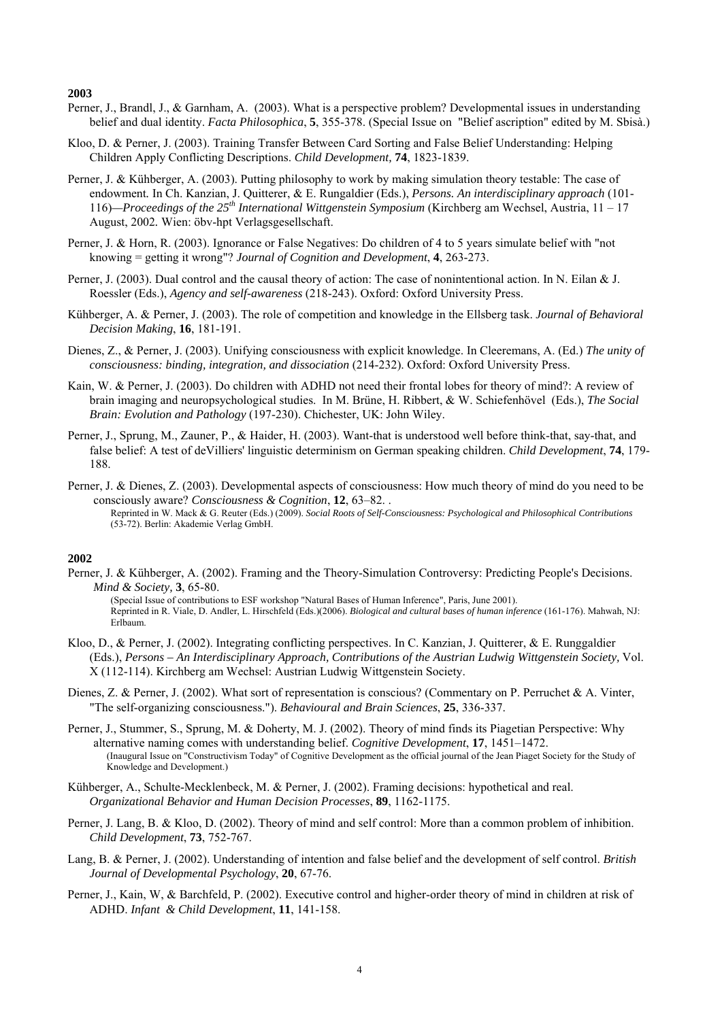- Perner, J., Brandl, J., & Garnham, A. (2003). What is a perspective problem? Developmental issues in understanding belief and dual identity. *Facta Philosophica*, **5**, 355-378. (Special Issue on "Belief ascription" edited by M. Sbisà.)
- Kloo, D. & Perner, J. (2003). Training Transfer Between Card Sorting and False Belief Understanding: Helping Children Apply Conflicting Descriptions. *Child Development,* **74**, 1823-1839.
- Perner, J. & Kühberger, A. (2003). Putting philosophy to work by making simulation theory testable: The case of endowment*.* In Ch. Kanzian, J. Quitterer, & E. Rungaldier (Eds.), *Persons. An interdisciplinary approach* (101- 116)*—Proceedings of the 25th International Wittgenstein Symposium* (Kirchberg am Wechsel, Austria, 11 – 17 August, 2002*.* Wien: öbv-hpt Verlagsgesellschaft.
- Perner, J. & Horn, R. (2003). Ignorance or False Negatives: Do children of 4 to 5 years simulate belief with "not knowing = getting it wrong"? *Journal of Cognition and Development*, **4**, 263-273.
- Perner, J. (2003). Dual control and the causal theory of action: The case of nonintentional action. In N. Eilan & J. Roessler (Eds.), *Agency and self-awareness* (218-243). Oxford: Oxford University Press.
- Kühberger, A. & Perner, J. (2003). The role of competition and knowledge in the Ellsberg task. *Journal of Behavioral Decision Making*, **16**, 181-191.
- Dienes, Z., & Perner, J. (2003). Unifying consciousness with explicit knowledge. In Cleeremans, A. (Ed.) *The unity of consciousness: binding, integration, and dissociation* (214-232). Oxford: Oxford University Press.
- Kain, W. & Perner, J. (2003). Do children with ADHD not need their frontal lobes for theory of mind?: A review of brain imaging and neuropsychological studies. In M. Brüne, H. Ribbert, & W. Schiefenhövel (Eds.), *The Social Brain: Evolution and Pathology* (197-230). Chichester, UK: John Wiley.
- Perner, J., Sprung, M., Zauner, P., & Haider, H. (2003). Want-that is understood well before think-that, say-that, and false belief: A test of deVilliers' linguistic determinism on German speaking children. *Child Development*, **74**, 179- 188.
- Perner, J. & Dienes, Z. (2003). Developmental aspects of consciousness: How much theory of mind do you need to be consciously aware? *Consciousness & Cognition*, **12**, 63–82. . Reprinted in W. Mack & G. Reuter (Eds.) (2009). *Social Roots of Self-Consciousness: Psychological and Philosophical Contributions* (53-72). Berlin: Akademie Verlag GmbH.

#### **2002**

Perner, J. & Kühberger, A. (2002). Framing and the Theory-Simulation Controversy: Predicting People's Decisions. *Mind & Society,* **3**, 65-80.

(Special Issue of contributions to ESF workshop "Natural Bases of Human Inference", Paris, June 2001). Reprinted in R. Viale, D. Andler, L. Hirschfeld (Eds.)(2006). *Biological and cultural bases of human inference* (161-176). Mahwah, NJ: Erlbaum.

- Kloo, D., & Perner, J. (2002). Integrating conflicting perspectives. In C. Kanzian, J. Quitterer, & E. Runggaldier (Eds.), *Persons – An Interdisciplinary Approach, Contributions of the Austrian Ludwig Wittgenstein Society,* Vol. X (112-114). Kirchberg am Wechsel: Austrian Ludwig Wittgenstein Society.
- Dienes, Z. & Perner, J. (2002). What sort of representation is conscious? (Commentary on P. Perruchet & A. Vinter, "The self-organizing consciousness."). *Behavioural and Brain Sciences*, **25**, 336-337.
- Perner, J., Stummer, S., Sprung, M. & Doherty, M. J. (2002). Theory of mind finds its Piagetian Perspective: Why alternative naming comes with understanding belief. *Cognitive Development*, **17**, 1451–1472. (Inaugural Issue on "Constructivism Today" of Cognitive Development as the official journal of the Jean Piaget Society for the Study of Knowledge and Development.)
- Kühberger, A., Schulte-Mecklenbeck, M. & Perner, J. (2002). Framing decisions: hypothetical and real. *Organizational Behavior and Human Decision Processes*, **89**, 1162-1175.
- Perner, J. Lang, B. & Kloo, D. (2002). Theory of mind and self control: More than a common problem of inhibition. *Child Development*, **73**, 752-767.
- Lang, B. & Perner, J. (2002). Understanding of intention and false belief and the development of self control. *British Journal of Developmental Psychology*, **20**, 67-76.
- Perner, J., Kain, W, & Barchfeld, P. (2002). Executive control and higher-order theory of mind in children at risk of ADHD. *Infant & Child Development*, **11**, 141-158.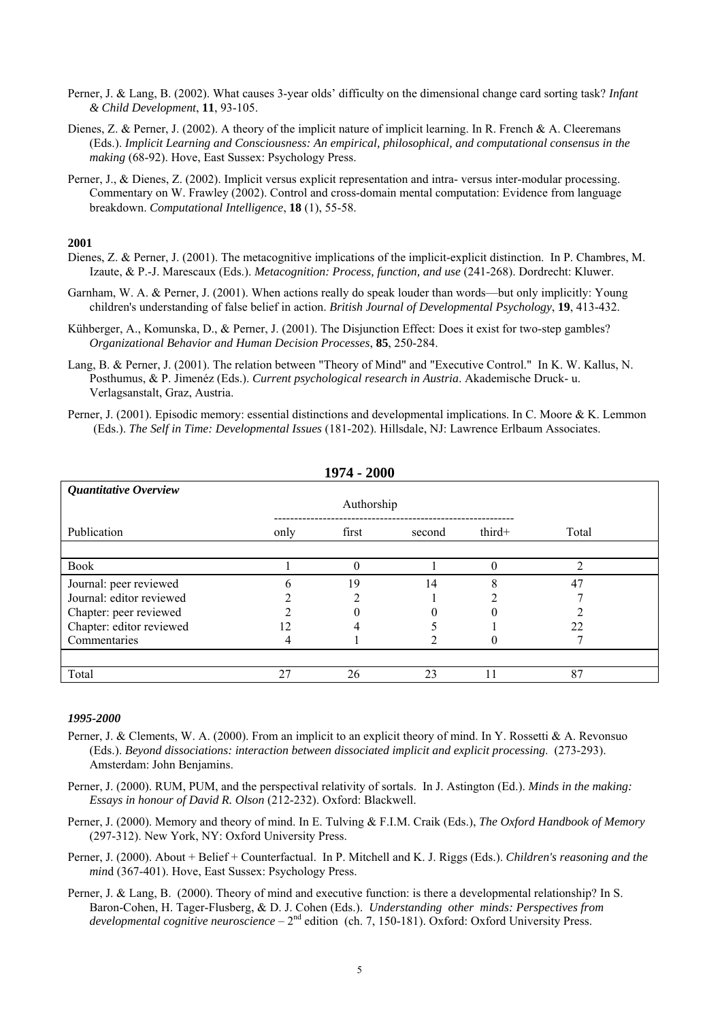- Perner, J. & Lang, B. (2002). What causes 3-year olds' difficulty on the dimensional change card sorting task? *Infant & Child Development*, **11**, 93-105.
- Dienes, Z. & Perner, J. (2002). A theory of the implicit nature of implicit learning. In R. French & A. Cleeremans (Eds.). *Implicit Learning and Consciousness: An empirical, philosophical, and computational consensus in the making* (68-92). Hove, East Sussex: Psychology Press.
- Perner, J., & Dienes, Z. (2002). Implicit versus explicit representation and intra- versus inter-modular processing. Commentary on W. Frawley (2002). Control and cross-domain mental computation: Evidence from language breakdown. *Computational Intelligence*, **18** (1), 55-58.

- Dienes, Z. & Perner, J. (2001). The metacognitive implications of the implicit-explicit distinction. In P. Chambres, M. Izaute, & P.-J. Marescaux (Eds.). *Metacognition: Process, function, and use* (241-268). Dordrecht: Kluwer.
- Garnham, W. A. & Perner, J. (2001). When actions really do speak louder than words—but only implicitly: Young children's understanding of false belief in action. *British Journal of Developmental Psychology*, **19**, 413-432.
- Kühberger, A., Komunska, D., & Perner, J. (2001). The Disjunction Effect: Does it exist for two-step gambles? *Organizational Behavior and Human Decision Processes*, **85**, 250-284.
- Lang, B. & Perner, J. (2001). The relation between "Theory of Mind" and "Executive Control." In K. W. Kallus, N. Posthumus, & P. Jimenéz (Eds.). *Current psychological research in Austria*. Akademische Druck- u. Verlagsanstalt, Graz, Austria.
- Perner, J. (2001). Episodic memory: essential distinctions and developmental implications. In C. Moore & K. Lemmon (Eds.). *The Self in Time: Developmental Issues* (181-202). Hillsdale, NJ: Lawrence Erlbaum Associates.

| 1974 - 2000              |      |       |        |        |       |  |  |  |  |
|--------------------------|------|-------|--------|--------|-------|--|--|--|--|
| Quantitative Overview    |      |       |        |        |       |  |  |  |  |
| Publication              | only | first | second | third+ | Total |  |  |  |  |
|                          |      |       |        |        |       |  |  |  |  |
| <b>Book</b>              |      |       |        | 0      | ↑     |  |  |  |  |
| Journal: peer reviewed   | h    | 19    | 14     | O<br>δ | 47    |  |  |  |  |
| Journal: editor reviewed |      |       |        |        |       |  |  |  |  |
| Chapter: peer reviewed   |      |       |        |        |       |  |  |  |  |
| Chapter: editor reviewed |      |       |        |        | 22    |  |  |  |  |
| Commentaries             |      |       |        |        |       |  |  |  |  |
|                          |      |       |        |        |       |  |  |  |  |
| Total                    | 27   | 26    | 23     |        | 87    |  |  |  |  |

**1974 - 2000** 

- Perner, J. & Clements, W. A. (2000). From an implicit to an explicit theory of mind. In Y. Rossetti & A. Revonsuo (Eds.). *Beyond dissociations: interaction between dissociated implicit and explicit processing*. (273-293). Amsterdam: John Benjamins.
- Perner, J. (2000). RUM, PUM, and the perspectival relativity of sortals. In J. Astington (Ed.). *Minds in the making: Essays in honour of David R. Olson* (212-232). Oxford: Blackwell.
- Perner, J. (2000). Memory and theory of mind. In E. Tulving & F.I.M. Craik (Eds.), *The Oxford Handbook of Memory* (297-312). New York, NY: Oxford University Press.
- Perner, J. (2000). About + Belief + Counterfactual. In P. Mitchell and K. J. Riggs (Eds.). *Children's reasoning and the min*d (367-401). Hove, East Sussex: Psychology Press.
- Perner, J. & Lang, B. (2000). Theory of mind and executive function: is there a developmental relationship? In S. Baron-Cohen, H. Tager-Flusberg, & D. J. Cohen (Eds.). *Understanding other minds: Perspectives from developmental cognitive neuroscience* – 2nd edition (ch. 7, 150-181). Oxford: Oxford University Press.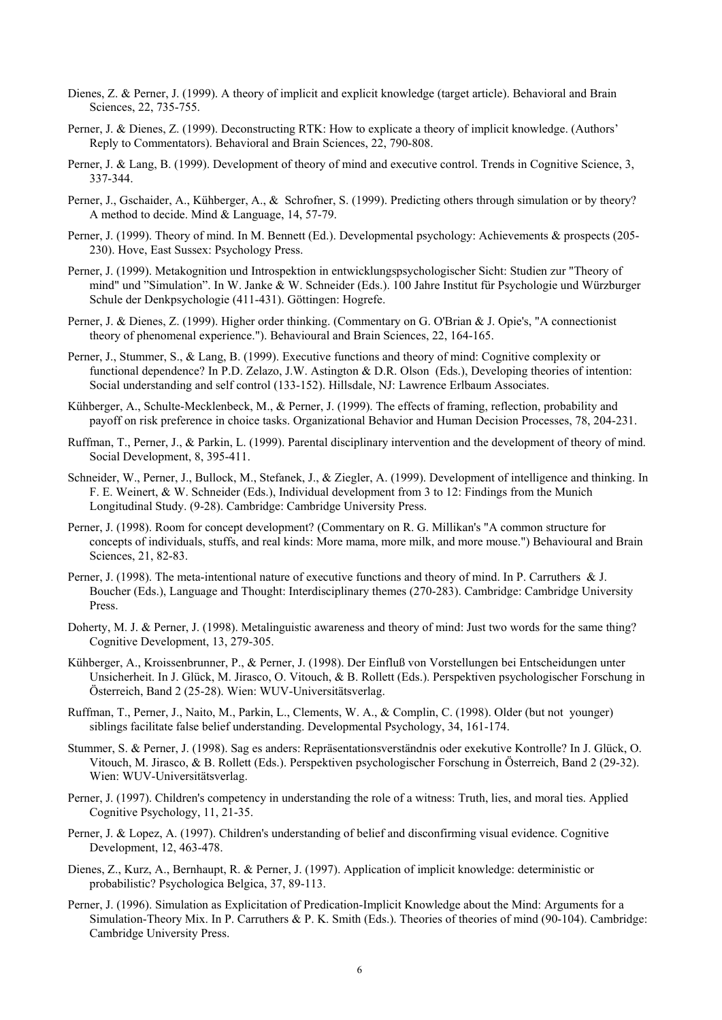- Dienes, Z. & Perner, J. (1999). A theory of implicit and explicit knowledge (target article). Behavioral and Brain Sciences, 22, 735-755.
- Perner, J. & Dienes, Z. (1999). Deconstructing RTK: How to explicate a theory of implicit knowledge. (Authors' Reply to Commentators). Behavioral and Brain Sciences, 22, 790-808.
- Perner, J. & Lang, B. (1999). Development of theory of mind and executive control. Trends in Cognitive Science, 3, 337-344.
- Perner, J., Gschaider, A., Kühberger, A., & Schrofner, S. (1999). Predicting others through simulation or by theory? A method to decide. Mind & Language, 14, 57-79.
- Perner, J. (1999). Theory of mind. In M. Bennett (Ed.). Developmental psychology: Achievements & prospects (205-230). Hove, East Sussex: Psychology Press.
- Perner, J. (1999). Metakognition und Introspektion in entwicklungspsychologischer Sicht: Studien zur "Theory of mind" und "Simulation". In W. Janke & W. Schneider (Eds.). 100 Jahre Institut für Psychologie und Würzburger Schule der Denkpsychologie (411-431). Göttingen: Hogrefe.
- Perner, J. & Dienes, Z. (1999). Higher order thinking. (Commentary on G. O'Brian & J. Opie's, "A connectionist theory of phenomenal experience."). Behavioural and Brain Sciences, 22, 164-165.
- Perner, J., Stummer, S., & Lang, B. (1999). Executive functions and theory of mind: Cognitive complexity or functional dependence? In P.D. Zelazo, J.W. Astington & D.R. Olson (Eds.), Developing theories of intention: Social understanding and self control (133-152). Hillsdale, NJ: Lawrence Erlbaum Associates.
- Kühberger, A., Schulte-Mecklenbeck, M., & Perner, J. (1999). The effects of framing, reflection, probability and payoff on risk preference in choice tasks. Organizational Behavior and Human Decision Processes, 78, 204-231.
- Ruffman, T., Perner, J., & Parkin, L. (1999). Parental disciplinary intervention and the development of theory of mind. Social Development, 8, 395-411.
- Schneider, W., Perner, J., Bullock, M., Stefanek, J., & Ziegler, A. (1999). Development of intelligence and thinking. In F. E. Weinert, & W. Schneider (Eds.), Individual development from 3 to 12: Findings from the Munich Longitudinal Study. (9-28). Cambridge: Cambridge University Press.
- Perner, J. (1998). Room for concept development? (Commentary on R. G. Millikan's "A common structure for concepts of individuals, stuffs, and real kinds: More mama, more milk, and more mouse.") Behavioural and Brain Sciences, 21, 82-83.
- Perner, J. (1998). The meta-intentional nature of executive functions and theory of mind. In P. Carruthers & J. Boucher (Eds.), Language and Thought: Interdisciplinary themes (270-283). Cambridge: Cambridge University Press.
- Doherty, M. J. & Perner, J. (1998). Metalinguistic awareness and theory of mind: Just two words for the same thing? Cognitive Development, 13, 279-305.
- Kühberger, A., Kroissenbrunner, P., & Perner, J. (1998). Der Einfluß von Vorstellungen bei Entscheidungen unter Unsicherheit. In J. Glück, M. Jirasco, O. Vitouch, & B. Rollett (Eds.). Perspektiven psychologischer Forschung in Österreich, Band 2 (25-28). Wien: WUV-Universitätsverlag.
- Ruffman, T., Perner, J., Naito, M., Parkin, L., Clements, W. A., & Complin, C. (1998). Older (but not younger) siblings facilitate false belief understanding. Developmental Psychology, 34, 161-174.
- Stummer, S. & Perner, J. (1998). Sag es anders: Repräsentationsverständnis oder exekutive Kontrolle? In J. Glück, O. Vitouch, M. Jirasco, & B. Rollett (Eds.). Perspektiven psychologischer Forschung in Österreich, Band 2 (29-32). Wien: WUV-Universitätsverlag.
- Perner, J. (1997). Children's competency in understanding the role of a witness: Truth, lies, and moral ties. Applied Cognitive Psychology, 11, 21-35.
- Perner, J. & Lopez, A. (1997). Children's understanding of belief and disconfirming visual evidence. Cognitive Development, 12, 463-478.
- Dienes, Z., Kurz, A., Bernhaupt, R. & Perner, J. (1997). Application of implicit knowledge: deterministic or probabilistic? Psychologica Belgica, 37, 89-113.
- Perner, J. (1996). Simulation as Explicitation of Predication-Implicit Knowledge about the Mind: Arguments for a Simulation-Theory Mix. In P. Carruthers & P. K. Smith (Eds.). Theories of theories of mind (90-104). Cambridge: Cambridge University Press.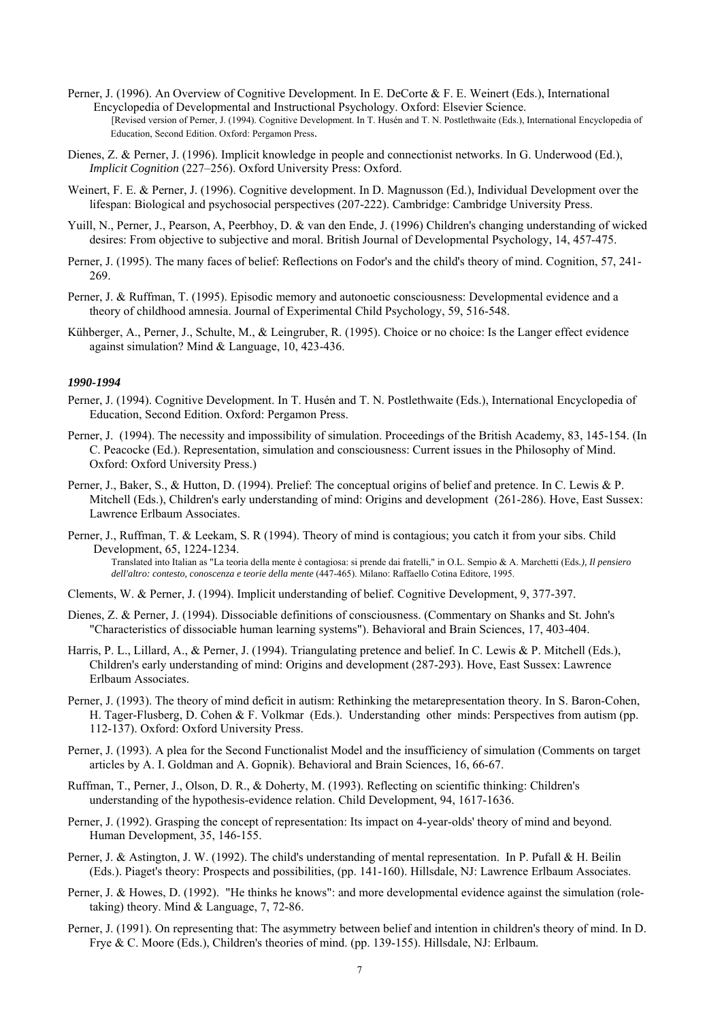- Perner, J. (1996). An Overview of Cognitive Development. In E. DeCorte & F. E. Weinert (Eds.), International Encyclopedia of Developmental and Instructional Psychology. Oxford: Elsevier Science. [Revised version of Perner, J. (1994). Cognitive Development. In T. Husén and T. N. Postlethwaite (Eds.), International Encyclopedia of Education, Second Edition. Oxford: Pergamon Press.
- Dienes, Z. & Perner, J. (1996). Implicit knowledge in people and connectionist networks. In G. Underwood (Ed.), *Implicit Cognition* (227–256). Oxford University Press: Oxford.
- Weinert, F. E. & Perner, J. (1996). Cognitive development. In D. Magnusson (Ed.), Individual Development over the lifespan: Biological and psychosocial perspectives (207-222). Cambridge: Cambridge University Press.
- Yuill, N., Perner, J., Pearson, A, Peerbhoy, D. & van den Ende, J. (1996) Children's changing understanding of wicked desires: From objective to subjective and moral. British Journal of Developmental Psychology, 14, 457-475.
- Perner, J. (1995). The many faces of belief: Reflections on Fodor's and the child's theory of mind. Cognition, 57, 241- 269.
- Perner, J. & Ruffman, T. (1995). Episodic memory and autonoetic consciousness: Developmental evidence and a theory of childhood amnesia. Journal of Experimental Child Psychology, 59, 516-548.
- Kühberger, A., Perner, J., Schulte, M., & Leingruber, R. (1995). Choice or no choice: Is the Langer effect evidence against simulation? Mind & Language, 10, 423-436.

- Perner, J. (1994). Cognitive Development. In T. Husén and T. N. Postlethwaite (Eds.), International Encyclopedia of Education, Second Edition. Oxford: Pergamon Press.
- Perner, J. (1994). The necessity and impossibility of simulation. Proceedings of the British Academy, 83, 145-154. (In C. Peacocke (Ed.). Representation, simulation and consciousness: Current issues in the Philosophy of Mind. Oxford: Oxford University Press.)
- Perner, J., Baker, S., & Hutton, D. (1994). Prelief: The conceptual origins of belief and pretence. In C. Lewis & P. Mitchell (Eds.), Children's early understanding of mind: Origins and development (261-286). Hove, East Sussex: Lawrence Erlbaum Associates.
- Perner, J., Ruffman, T. & Leekam, S. R (1994). Theory of mind is contagious; you catch it from your sibs. Child Development, 65, 1224-1234. Translated into Italian as "La teoria della mente è contagiosa: si prende dai fratelli," in O.L. Sempio & A. Marchetti (Eds*.), Il pensiero dell'altro: contesto, conoscenza e teorie della mente* (447-465). Milano: Raffaello Cotina Editore, 1995.
- Clements, W. & Perner, J. (1994). Implicit understanding of belief. Cognitive Development, 9, 377-397.
- Dienes, Z. & Perner, J. (1994). Dissociable definitions of consciousness. (Commentary on Shanks and St. John's "Characteristics of dissociable human learning systems"). Behavioral and Brain Sciences, 17, 403-404.
- Harris, P. L., Lillard, A., & Perner, J. (1994). Triangulating pretence and belief. In C. Lewis & P. Mitchell (Eds.), Children's early understanding of mind: Origins and development (287-293). Hove, East Sussex: Lawrence Erlbaum Associates.
- Perner, J. (1993). The theory of mind deficit in autism: Rethinking the metarepresentation theory. In S. Baron-Cohen, H. Tager-Flusberg, D. Cohen & F. Volkmar (Eds.). Understanding other minds: Perspectives from autism (pp. 112-137). Oxford: Oxford University Press.
- Perner, J. (1993). A plea for the Second Functionalist Model and the insufficiency of simulation (Comments on target articles by A. I. Goldman and A. Gopnik). Behavioral and Brain Sciences, 16, 66-67.
- Ruffman, T., Perner, J., Olson, D. R., & Doherty, M. (1993). Reflecting on scientific thinking: Children's understanding of the hypothesis-evidence relation. Child Development, 94, 1617-1636.
- Perner, J. (1992). Grasping the concept of representation: Its impact on 4-year-olds' theory of mind and beyond. Human Development, 35, 146-155.
- Perner, J. & Astington, J. W. (1992). The child's understanding of mental representation. In P. Pufall & H. Beilin (Eds.). Piaget's theory: Prospects and possibilities, (pp. 141-160). Hillsdale, NJ: Lawrence Erlbaum Associates.
- Perner, J. & Howes, D. (1992). "He thinks he knows": and more developmental evidence against the simulation (roletaking) theory. Mind & Language, 7, 72-86.
- Perner, J. (1991). On representing that: The asymmetry between belief and intention in children's theory of mind. In D. Frye & C. Moore (Eds.), Children's theories of mind. (pp. 139-155). Hillsdale, NJ: Erlbaum.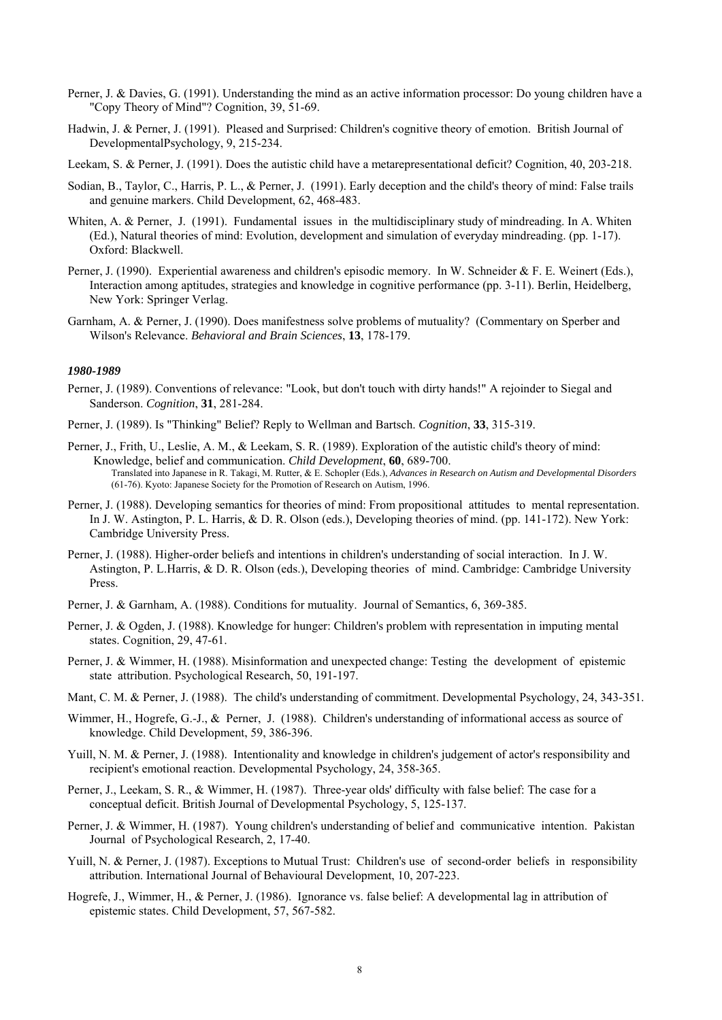- Perner, J. & Davies, G. (1991). Understanding the mind as an active information processor: Do young children have a "Copy Theory of Mind"? Cognition, 39, 51-69.
- Hadwin, J. & Perner, J. (1991). Pleased and Surprised: Children's cognitive theory of emotion. British Journal of DevelopmentalPsychology, 9, 215-234.

Leekam, S. & Perner, J. (1991). Does the autistic child have a metarepresentational deficit? Cognition, 40, 203-218.

- Sodian, B., Taylor, C., Harris, P. L., & Perner, J. (1991). Early deception and the child's theory of mind: False trails and genuine markers. Child Development, 62, 468-483.
- Whiten, A. & Perner, J. (1991). Fundamental issues in the multidisciplinary study of mindreading. In A. Whiten (Ed.), Natural theories of mind: Evolution, development and simulation of everyday mindreading. (pp. 1-17). Oxford: Blackwell.
- Perner, J. (1990). Experiential awareness and children's episodic memory. In W. Schneider & F. E. Weinert (Eds.), Interaction among aptitudes, strategies and knowledge in cognitive performance (pp. 3-11). Berlin, Heidelberg, New York: Springer Verlag.
- Garnham, A. & Perner, J. (1990). Does manifestness solve problems of mutuality? (Commentary on Sperber and Wilson's Relevance. *Behavioral and Brain Sciences*, **13**, 178-179.

- Perner, J. (1989). Conventions of relevance: "Look, but don't touch with dirty hands!" A rejoinder to Siegal and Sanderson. *Cognition*, **31**, 281-284.
- Perner, J. (1989). Is "Thinking" Belief? Reply to Wellman and Bartsch. *Cognition*, **33**, 315-319.
- Perner, J., Frith, U., Leslie, A. M., & Leekam, S. R. (1989). Exploration of the autistic child's theory of mind: Knowledge, belief and communication. *Child Development*, **60**, 689-700. Translated into Japanese in R. Takagi, M. Rutter, & E. Schopler (Eds.), *Advances in Research on Autism and Developmental Disorders* (61-76). Kyoto: Japanese Society for the Promotion of Research on Autism, 1996.
- Perner, J. (1988). Developing semantics for theories of mind: From propositional attitudes to mental representation. In J. W. Astington, P. L. Harris, & D. R. Olson (eds.), Developing theories of mind. (pp. 141-172). New York: Cambridge University Press.
- Perner, J. (1988). Higher-order beliefs and intentions in children's understanding of social interaction. In J. W. Astington, P. L.Harris, & D. R. Olson (eds.), Developing theories of mind. Cambridge: Cambridge University Press.
- Perner, J. & Garnham, A. (1988). Conditions for mutuality. Journal of Semantics, 6, 369-385.
- Perner, J. & Ogden, J. (1988). Knowledge for hunger: Children's problem with representation in imputing mental states. Cognition, 29, 47-61.
- Perner, J. & Wimmer, H. (1988). Misinformation and unexpected change: Testing the development of epistemic state attribution. Psychological Research, 50, 191-197.
- Mant, C. M. & Perner, J. (1988). The child's understanding of commitment. Developmental Psychology, 24, 343-351.
- Wimmer, H., Hogrefe, G.-J., & Perner, J. (1988). Children's understanding of informational access as source of knowledge. Child Development, 59, 386-396.
- Yuill, N. M. & Perner, J. (1988). Intentionality and knowledge in children's judgement of actor's responsibility and recipient's emotional reaction. Developmental Psychology, 24, 358-365.
- Perner, J., Leekam, S. R., & Wimmer, H. (1987). Three-year olds' difficulty with false belief: The case for a conceptual deficit. British Journal of Developmental Psychology, 5, 125-137.
- Perner, J. & Wimmer, H. (1987). Young children's understanding of belief and communicative intention. Pakistan Journal of Psychological Research, 2, 17-40.
- Yuill, N. & Perner, J. (1987). Exceptions to Mutual Trust: Children's use of second-order beliefs in responsibility attribution. International Journal of Behavioural Development, 10, 207-223.
- Hogrefe, J., Wimmer, H., & Perner, J. (1986). Ignorance vs. false belief: A developmental lag in attribution of epistemic states. Child Development, 57, 567-582.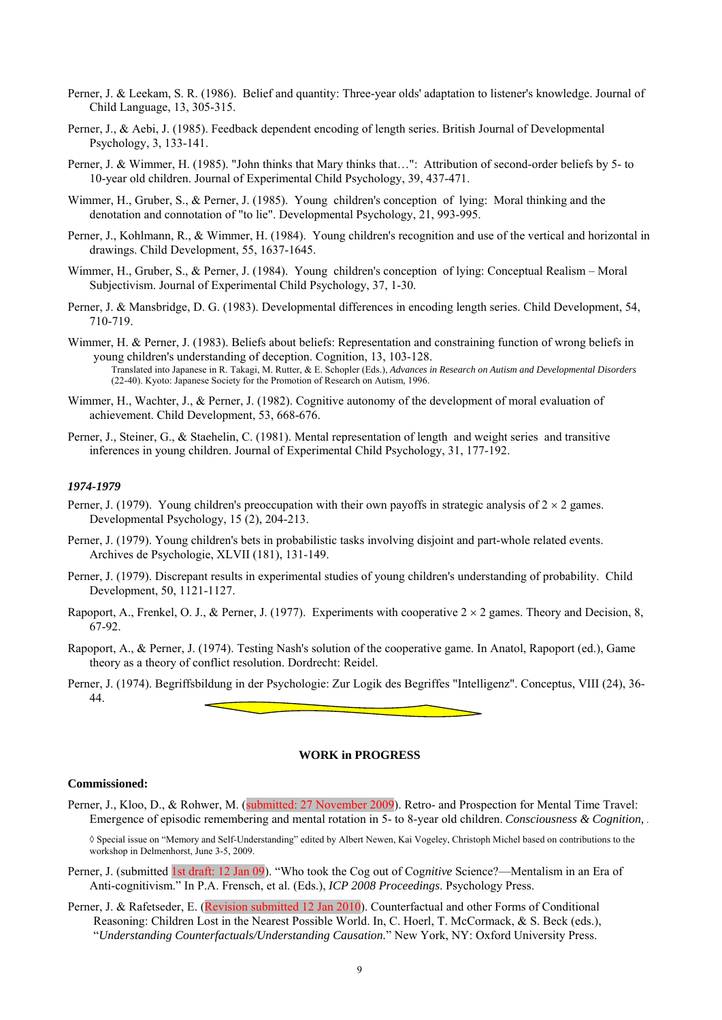- Perner, J. & Leekam, S. R. (1986). Belief and quantity: Three-year olds' adaptation to listener's knowledge. Journal of Child Language, 13, 305-315.
- Perner, J., & Aebi, J. (1985). Feedback dependent encoding of length series. British Journal of Developmental Psychology, 3, 133-141.
- Perner, J. & Wimmer, H. (1985). "John thinks that Mary thinks that…": Attribution of second-order beliefs by 5- to 10-year old children. Journal of Experimental Child Psychology, 39, 437-471.
- Wimmer, H., Gruber, S., & Perner, J. (1985). Young children's conception of lying: Moral thinking and the denotation and connotation of "to lie". Developmental Psychology, 21, 993-995.
- Perner, J., Kohlmann, R., & Wimmer, H. (1984). Young children's recognition and use of the vertical and horizontal in drawings. Child Development, 55, 1637-1645.
- Wimmer, H., Gruber, S., & Perner, J. (1984). Young children's conception of lying: Conceptual Realism Moral Subjectivism. Journal of Experimental Child Psychology, 37, 1-30.
- Perner, J. & Mansbridge, D. G. (1983). Developmental differences in encoding length series. Child Development, 54, 710-719.
- Wimmer, H. & Perner, J. (1983). Beliefs about beliefs: Representation and constraining function of wrong beliefs in young children's understanding of deception. Cognition, 13, 103-128. Translated into Japanese in R. Takagi, M. Rutter, & E. Schopler (Eds.), *Advances in Research on Autism and Developmental Disorders* (22-40). Kyoto: Japanese Society for the Promotion of Research on Autism, 1996.
- Wimmer, H., Wachter, J., & Perner, J. (1982). Cognitive autonomy of the development of moral evaluation of achievement. Child Development, 53, 668-676.
- Perner, J., Steiner, G., & Staehelin, C. (1981). Mental representation of length and weight series and transitive inferences in young children. Journal of Experimental Child Psychology, 31, 177-192.

#### *1974-1979*

- Perner, J. (1979). Young children's preoccupation with their own payoffs in strategic analysis of  $2 \times 2$  games. Developmental Psychology, 15 (2), 204-213.
- Perner, J. (1979). Young children's bets in probabilistic tasks involving disjoint and part-whole related events. Archives de Psychologie, XLVII (181), 131-149.
- Perner, J. (1979). Discrepant results in experimental studies of young children's understanding of probability. Child Development, 50, 1121-1127.
- Rapoport, A., Frenkel, O. J., & Perner, J. (1977). Experiments with cooperative  $2 \times 2$  games. Theory and Decision, 8, 67-92.
- Rapoport, A., & Perner, J. (1974). Testing Nash's solution of the cooperative game. In Anatol, Rapoport (ed.), Game theory as a theory of conflict resolution. Dordrecht: Reidel.
- Perner, J. (1974). Begriffsbildung in der Psychologie: Zur Logik des Begriffes "Intelligenz". Conceptus, VIII (24), 36- 44.

#### **WORK in PROGRESS**

#### **Commissioned:**

Perner, J., Kloo, D., & Rohwer, M. (submitted: 27 November 2009). Retro- and Prospection for Mental Time Travel: Emergence of episodic remembering and mental rotation in 5- to 8-year old children. *Consciousness & Cognition,* .

◊ Special issue on "Memory and Self-Understanding" edited by Albert Newen, Kai Vogeley, Christoph Michel based on contributions to the workshop in Delmenhorst, June 3-5, 2009.

- Perner, J. (submitted 1st draft: 12 Jan 09). "Who took the Cog out of Cog*nitive* Science?—Mentalism in an Era of Anti-cognitivism." In P.A. Frensch, et al. (Eds.), *ICP 2008 Proceedings*. Psychology Press.
- Perner, J. & Rafetseder, E. (Revision submitted 12 Jan 2010). Counterfactual and other Forms of Conditional Reasoning: Children Lost in the Nearest Possible World. In, C. Hoerl, T. McCormack, & S. Beck (eds.), "*Understanding Counterfactuals/Understanding Causation.*" New York, NY: Oxford University Press.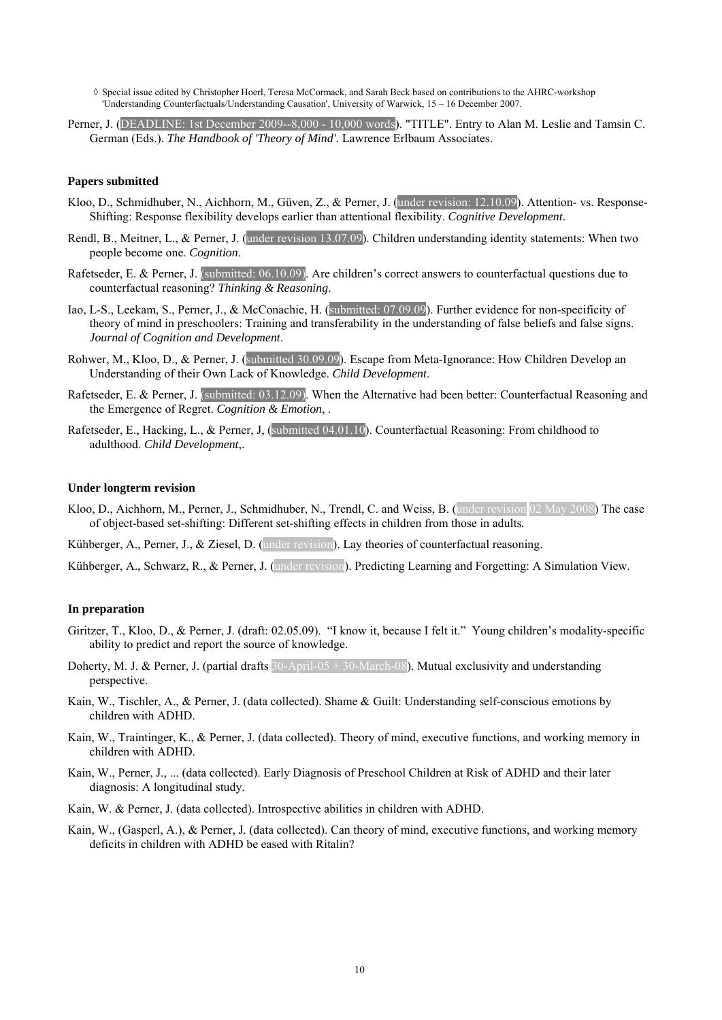◊ Special issue edited by Christopher Hoerl, Teresa McCormack, and Sarah Beck based on contributions to the AHRC-workshop 'Understanding Counterfactuals/Understanding Causation', University of Warwick, 15 – 16 December 2007.

Perner, J. (DEADLINE: 1st December 2009--8,000 - 10,000 words). "TITLE". Entry to Alan M. Leslie and Tamsin C. German (Eds.). *The Handbook of 'Theory of Mind'*. Lawrence Erlbaum Associates.

#### **Papers submitted**

- Kloo, D., Schmidhuber, N., Aichhorn, M., Güven, Z., & Perner, J. (under revision: 12.10.09). Attention- vs. Response-Shifting: Response flexibility develops earlier than attentional flexibility. *Cognitive Development*.
- Rendl, B., Meitner, L., & Perner, J. (under revision 13.07.09). Children understanding identity statements: When two people become one. *Cognition*.
- Rafetseder, E. & Perner, J. (submitted: 06.10.09). Are children's correct answers to counterfactual questions due to counterfactual reasoning? *Thinking & Reasoning*.
- Iao, L-S., Leekam, S., Perner, J., & McConachie, H. (submitted: 07.09.09). Further evidence for non-specificity of theory of mind in preschoolers: Training and transferability in the understanding of false beliefs and false signs. *Journal of Cognition and Development*.
- Rohwer, M., Kloo, D., & Perner, J. (submitted 30.09.09). Escape from Meta-Ignorance: How Children Develop an Understanding of their Own Lack of Knowledge. *Child Development*.
- Rafetseder, E. & Perner, J. (submitted: 03.12.09). When the Alternative had been better: Counterfactual Reasoning and the Emergence of Regret. *Cognition & Emotion*, .
- Rafetseder, E., Hacking, L., & Perner, J, (submitted 04.01.10). Counterfactual Reasoning: From childhood to adulthood. *Child Development*,.

#### **Under longterm revision**

Kloo, D., Aichhorn, M., Perner, J., Schmidhuber, N., Trendl, C. and Weiss, B. (under revision 02 May 2008) The case of object-based set-shifting: Different set-shifting effects in children from those in adults*.*

Kühberger, A., Perner, J., & Ziesel, D. (under revision). Lay theories of counterfactual reasoning.

Kühberger, A., Schwarz, R., & Perner, J. (under revision). Predicting Learning and Forgetting: A Simulation View.

#### **In preparation**

- Giritzer, T., Kloo, D., & Perner, J. (draft: 02.05.09). "I know it, because I felt it." Young children's modality-specific ability to predict and report the source of knowledge.
- Doherty, M. J. & Perner, J. (partial drafts  $30$ -April-05 +  $30$ -March-08). Mutual exclusivity and understanding perspective.
- Kain, W., Tischler, A., & Perner, J. (data collected). Shame & Guilt: Understanding self-conscious emotions by children with ADHD.
- Kain, W., Traintinger, K., & Perner, J. (data collected). Theory of mind, executive functions, and working memory in children with ADHD.
- Kain, W., Perner, J., ... (data collected). Early Diagnosis of Preschool Children at Risk of ADHD and their later diagnosis: A longitudinal study.
- Kain, W. & Perner, J. (data collected). Introspective abilities in children with ADHD.
- Kain, W., (Gasperl, A.), & Perner, J. (data collected). Can theory of mind, executive functions, and working memory deficits in children with ADHD be eased with Ritalin?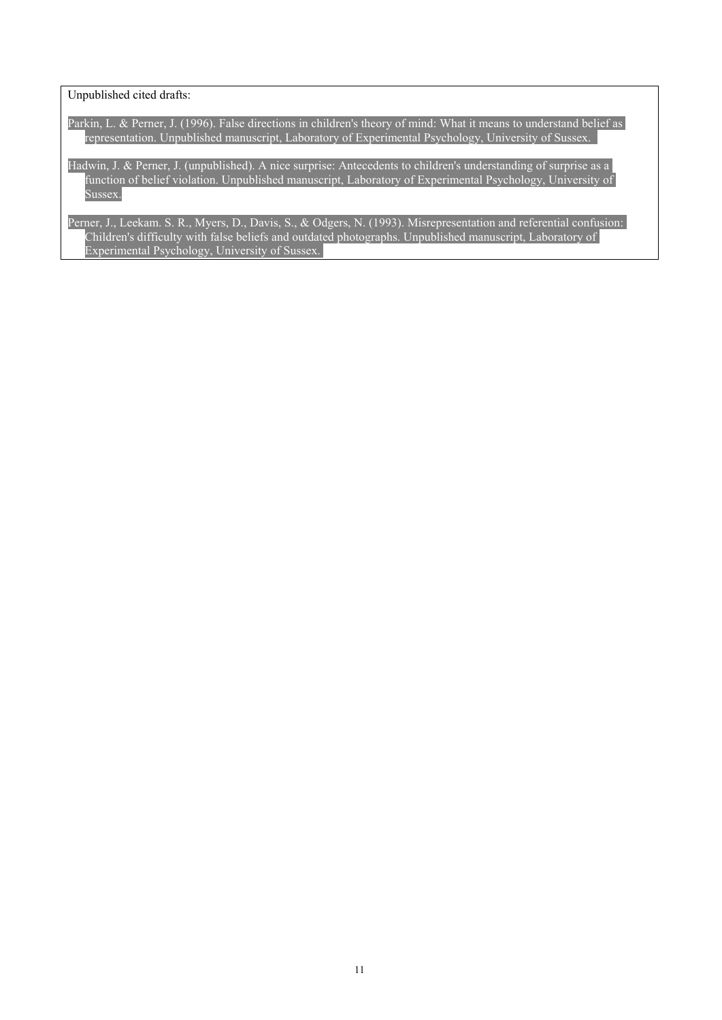Unpublished cited drafts:

Parkin, L. & Perner, J. (1996). False directions in children's theory of mind: What it means to understand belief as representation. Unpublished manuscript, Laboratory of Experimental Psychology, University of Sussex.

Hadwin, J. & Perner, J. (unpublished). A nice surprise: Antecedents to children's understanding of surprise as a function of belief violation. Unpublished manuscript, Laboratory of Experimental Psychology, University of Sussex.

Perner, J., Leekam. S. R., Myers, D., Davis, S., & Odgers, N. (1993). Misrepresentation and referential confusion: Children's difficulty with false beliefs and outdated photographs. Unpublished manuscript, Laboratory of Experimental Psychology, University of Sussex.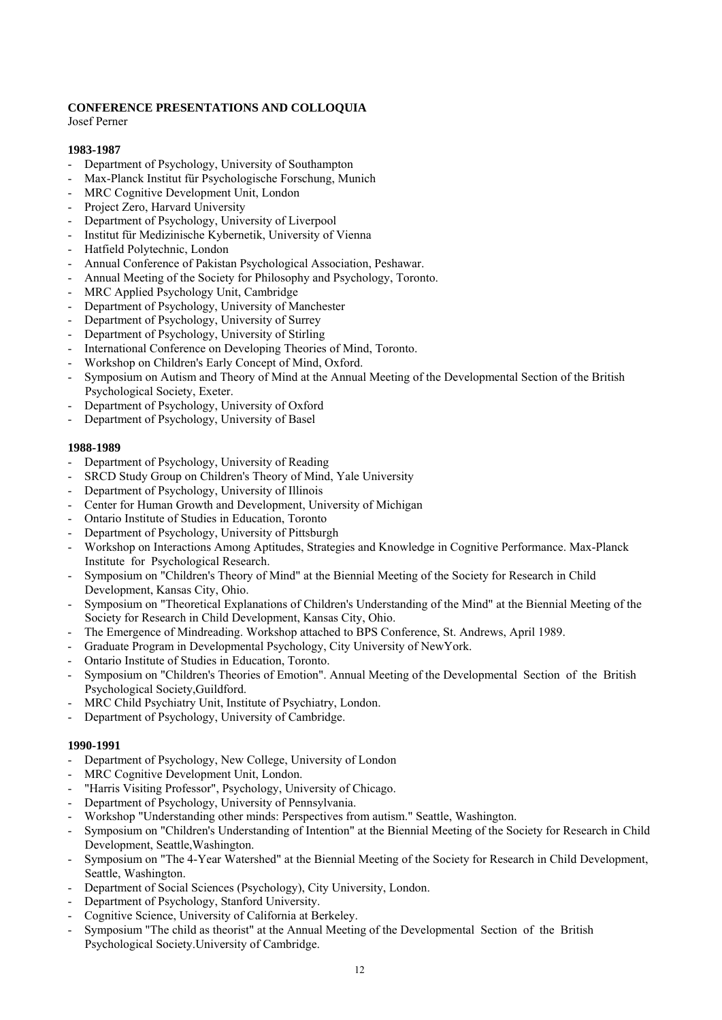# **CONFERENCE PRESENTATIONS AND COLLOQUIA**

Josef Perner

### **1983-1987**

- Department of Psychology, University of Southampton
- Max-Planck Institut für Psychologische Forschung, Munich
- MRC Cognitive Development Unit, London
- Project Zero, Harvard University
- Department of Psychology, University of Liverpool
- Institut für Medizinische Kybernetik, University of Vienna
- Hatfield Polytechnic, London
- Annual Conference of Pakistan Psychological Association, Peshawar.
- Annual Meeting of the Society for Philosophy and Psychology, Toronto.
- MRC Applied Psychology Unit, Cambridge
- Department of Psychology, University of Manchester
- Department of Psychology, University of Surrey
- Department of Psychology, University of Stirling
- International Conference on Developing Theories of Mind, Toronto.
- Workshop on Children's Early Concept of Mind, Oxford.
- Symposium on Autism and Theory of Mind at the Annual Meeting of the Developmental Section of the British Psychological Society, Exeter.
- Department of Psychology, University of Oxford
- Department of Psychology, University of Basel

### **1988-1989**

- Department of Psychology, University of Reading
- SRCD Study Group on Children's Theory of Mind, Yale University
- Department of Psychology, University of Illinois
- Center for Human Growth and Development, University of Michigan
- Ontario Institute of Studies in Education, Toronto
- Department of Psychology, University of Pittsburgh
- Workshop on Interactions Among Aptitudes, Strategies and Knowledge in Cognitive Performance. Max-Planck Institute for Psychological Research.
- Symposium on "Children's Theory of Mind" at the Biennial Meeting of the Society for Research in Child Development, Kansas City, Ohio.
- Symposium on "Theoretical Explanations of Children's Understanding of the Mind" at the Biennial Meeting of the Society for Research in Child Development, Kansas City, Ohio.
- The Emergence of Mindreading. Workshop attached to BPS Conference, St. Andrews, April 1989.
- Graduate Program in Developmental Psychology, City University of NewYork.
- Ontario Institute of Studies in Education, Toronto.
- Symposium on "Children's Theories of Emotion". Annual Meeting of the Developmental Section of the British Psychological Society,Guildford.
- MRC Child Psychiatry Unit, Institute of Psychiatry, London.
- Department of Psychology, University of Cambridge.

- Department of Psychology, New College, University of London
- MRC Cognitive Development Unit, London.
- "Harris Visiting Professor", Psychology, University of Chicago.
- Department of Psychology, University of Pennsylvania.
- Workshop "Understanding other minds: Perspectives from autism." Seattle, Washington.
- Symposium on "Children's Understanding of Intention" at the Biennial Meeting of the Society for Research in Child Development, Seattle,Washington.
- Symposium on "The 4-Year Watershed" at the Biennial Meeting of the Society for Research in Child Development, Seattle, Washington.
- Department of Social Sciences (Psychology), City University, London.
- Department of Psychology, Stanford University.
- Cognitive Science, University of California at Berkeley.
- Symposium "The child as theorist" at the Annual Meeting of the Developmental Section of the British Psychological Society.University of Cambridge.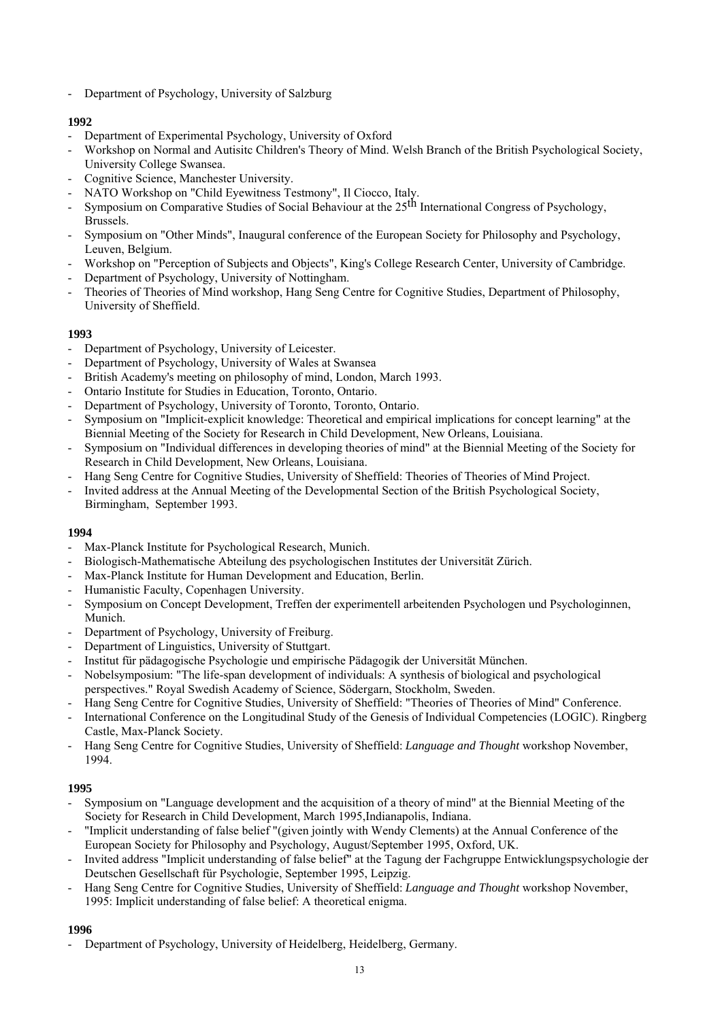- Department of Psychology, University of Salzburg

# **1992**

- Department of Experimental Psychology, University of Oxford
- Workshop on Normal and Autisitc Children's Theory of Mind. Welsh Branch of the British Psychological Society, University College Swansea.
- Cognitive Science, Manchester University.
- NATO Workshop on "Child Eyewitness Testmony", Il Ciocco, Italy.
- Symposium on Comparative Studies of Social Behaviour at the 25<sup>th</sup> International Congress of Psychology, Brussels.
- Symposium on "Other Minds", Inaugural conference of the European Society for Philosophy and Psychology, Leuven, Belgium.
- Workshop on "Perception of Subjects and Objects", King's College Research Center, University of Cambridge.
- Department of Psychology, University of Nottingham.
- Theories of Theories of Mind workshop, Hang Seng Centre for Cognitive Studies, Department of Philosophy, University of Sheffield.

### **1993**

- Department of Psychology, University of Leicester.
- Department of Psychology, University of Wales at Swansea
- British Academy's meeting on philosophy of mind, London, March 1993.
- Ontario Institute for Studies in Education, Toronto, Ontario.
- Department of Psychology, University of Toronto, Toronto, Ontario.
- Symposium on "Implicit-explicit knowledge: Theoretical and empirical implications for concept learning" at the Biennial Meeting of the Society for Research in Child Development, New Orleans, Louisiana.
- Symposium on "Individual differences in developing theories of mind" at the Biennial Meeting of the Society for Research in Child Development, New Orleans, Louisiana.
- Hang Seng Centre for Cognitive Studies, University of Sheffield: Theories of Theories of Mind Project.
- Invited address at the Annual Meeting of the Developmental Section of the British Psychological Society, Birmingham, September 1993.

### **1994**

- Max-Planck Institute for Psychological Research, Munich.
- Biologisch-Mathematische Abteilung des psychologischen Institutes der Universität Zürich.
- Max-Planck Institute for Human Development and Education, Berlin.
- Humanistic Faculty, Copenhagen University.
- Symposium on Concept Development, Treffen der experimentell arbeitenden Psychologen und Psychologinnen, Munich.
- Department of Psychology, University of Freiburg.
- Department of Linguistics, University of Stuttgart.
- Institut für pädagogische Psychologie und empirische Pädagogik der Universität München.
- Nobelsymposium: "The life-span development of individuals: A synthesis of biological and psychological perspectives." Royal Swedish Academy of Science, Södergarn, Stockholm, Sweden.
- Hang Seng Centre for Cognitive Studies, University of Sheffield: "Theories of Theories of Mind" Conference.
- International Conference on the Longitudinal Study of the Genesis of Individual Competencies (LOGIC). Ringberg Castle, Max-Planck Society.
- Hang Seng Centre for Cognitive Studies, University of Sheffield: *Language and Thought* workshop November, 1994.

### **1995**

- Symposium on "Language development and the acquisition of a theory of mind" at the Biennial Meeting of the Society for Research in Child Development, March 1995,Indianapolis, Indiana.
- "Implicit understanding of false belief "(given jointly with Wendy Clements) at the Annual Conference of the European Society for Philosophy and Psychology, August/September 1995, Oxford, UK.
- Invited address "Implicit understanding of false belief" at the Tagung der Fachgruppe Entwicklungspsychologie der Deutschen Gesellschaft für Psychologie, September 1995, Leipzig.
- Hang Seng Centre for Cognitive Studies, University of Sheffield: *Language and Thought* workshop November, 1995: Implicit understanding of false belief: A theoretical enigma.

### **1996**

- Department of Psychology, University of Heidelberg, Heidelberg, Germany.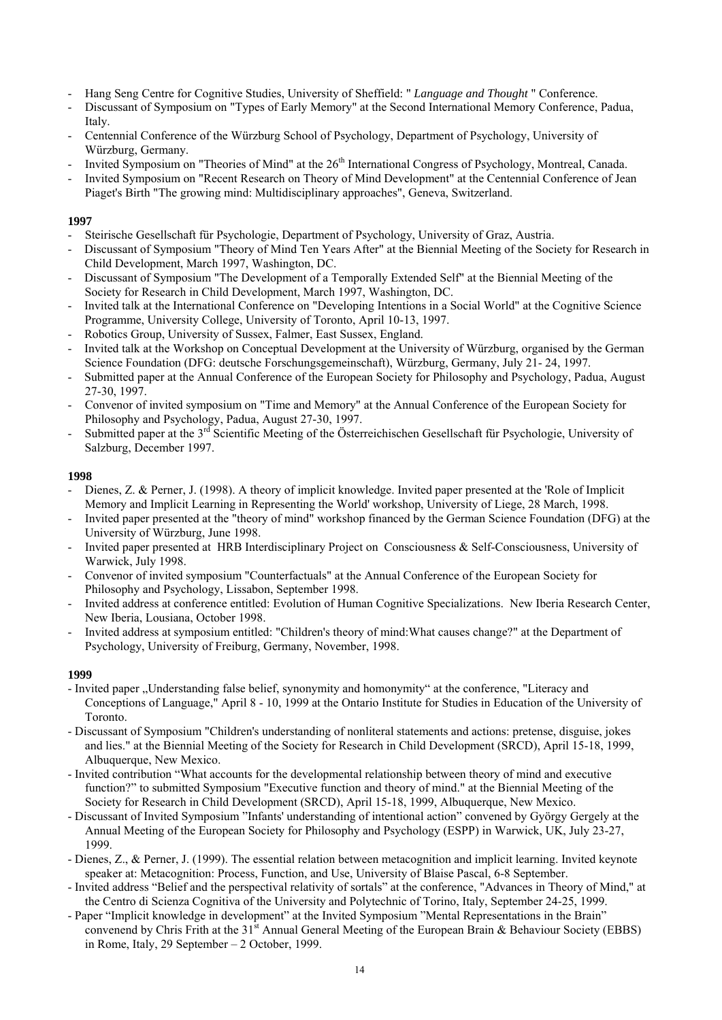- Hang Seng Centre for Cognitive Studies, University of Sheffield: " *Language and Thought* " Conference.
- Discussant of Symposium on "Types of Early Memory" at the Second International Memory Conference, Padua, Italy.
- Centennial Conference of the Würzburg School of Psychology, Department of Psychology, University of Würzburg, Germany.
- Invited Symposium on "Theories of Mind" at the 26<sup>th</sup> International Congress of Psychology, Montreal, Canada.
- Invited Symposium on "Recent Research on Theory of Mind Development" at the Centennial Conference of Jean Piaget's Birth "The growing mind: Multidisciplinary approaches", Geneva, Switzerland.

- Steirische Gesellschaft für Psychologie, Department of Psychology, University of Graz, Austria.
- Discussant of Symposium "Theory of Mind Ten Years After" at the Biennial Meeting of the Society for Research in Child Development, March 1997, Washington, DC.
- Discussant of Symposium "The Development of a Temporally Extended Self" at the Biennial Meeting of the Society for Research in Child Development, March 1997, Washington, DC.
- Invited talk at the International Conference on "Developing Intentions in a Social World" at the Cognitive Science Programme, University College, University of Toronto, April 10-13, 1997.
- Robotics Group, University of Sussex, Falmer, East Sussex, England.
- Invited talk at the Workshop on Conceptual Development at the University of Würzburg, organised by the German Science Foundation (DFG: deutsche Forschungsgemeinschaft), Würzburg, Germany, July 21- 24, 1997.
- Submitted paper at the Annual Conference of the European Society for Philosophy and Psychology, Padua, August 27-30, 1997.
- Convenor of invited symposium on "Time and Memory" at the Annual Conference of the European Society for Philosophy and Psychology, Padua, August 27-30, 1997.
- Submitted paper at the  $3^{rd}$  Scientific Meeting of the Österreichischen Gesellschaft für Psychologie, University of Salzburg, December 1997.

### **1998**

- Dienes, Z. & Perner, J. (1998). A theory of implicit knowledge. Invited paper presented at the 'Role of Implicit Memory and Implicit Learning in Representing the World' workshop, University of Liege, 28 March, 1998.
- Invited paper presented at the "theory of mind" workshop financed by the German Science Foundation (DFG) at the University of Würzburg, June 1998.
- Invited paper presented at HRB Interdisciplinary Project on Consciousness & Self-Consciousness, University of Warwick, July 1998.
- Convenor of invited symposium "Counterfactuals" at the Annual Conference of the European Society for Philosophy and Psychology, Lissabon, September 1998.
- Invited address at conference entitled: Evolution of Human Cognitive Specializations. New Iberia Research Center, New Iberia, Lousiana, October 1998.
- Invited address at symposium entitled: "Children's theory of mind:What causes change?" at the Department of Psychology, University of Freiburg, Germany, November, 1998.

- Invited paper "Understanding false belief, synonymity and homonymity" at the conference, "Literacy and Conceptions of Language," April 8 - 10, 1999 at the Ontario Institute for Studies in Education of the University of Toronto.
- Discussant of Symposium "Children's understanding of nonliteral statements and actions: pretense, disguise, jokes and lies." at the Biennial Meeting of the Society for Research in Child Development (SRCD), April 15-18, 1999, Albuquerque, New Mexico.
- Invited contribution "What accounts for the developmental relationship between theory of mind and executive function?" to submitted Symposium "Executive function and theory of mind." at the Biennial Meeting of the Society for Research in Child Development (SRCD), April 15-18, 1999, Albuquerque, New Mexico.
- Discussant of Invited Symposium "Infants' understanding of intentional action" convened by György Gergely at the Annual Meeting of the European Society for Philosophy and Psychology (ESPP) in Warwick, UK, July 23-27, 1999.
- Dienes, Z., & Perner, J. (1999). The essential relation between metacognition and implicit learning. Invited keynote speaker at: Metacognition: Process, Function, and Use, University of Blaise Pascal, 6-8 September.
- Invited address "Belief and the perspectival relativity of sortals" at the conference, "Advances in Theory of Mind," at the Centro di Scienza Cognitiva of the University and Polytechnic of Torino, Italy, September 24-25, 1999.
- Paper "Implicit knowledge in development" at the Invited Symposium "Mental Representations in the Brain" convenend by Chris Frith at the 31<sup>st</sup> Annual General Meeting of the European Brain & Behaviour Society (EBBS) in Rome, Italy, 29 September – 2 October, 1999.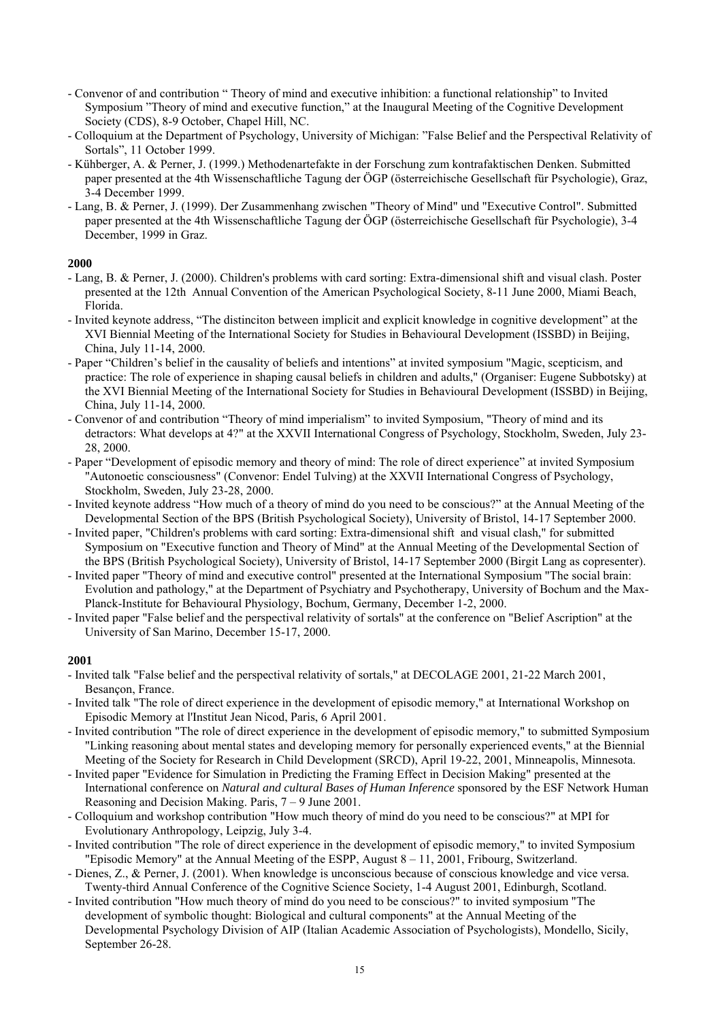- Convenor of and contribution " Theory of mind and executive inhibition: a functional relationship" to Invited Symposium "Theory of mind and executive function," at the Inaugural Meeting of the Cognitive Development Society (CDS), 8-9 October, Chapel Hill, NC.
- Colloquium at the Department of Psychology, University of Michigan: "False Belief and the Perspectival Relativity of Sortals", 11 October 1999.
- Kühberger, A. & Perner, J. (1999.) Methodenartefakte in der Forschung zum kontrafaktischen Denken. Submitted paper presented at the 4th Wissenschaftliche Tagung der ÖGP (österreichische Gesellschaft für Psychologie), Graz, 3-4 December 1999.
- Lang, B. & Perner, J. (1999). Der Zusammenhang zwischen "Theory of Mind" und "Executive Control". Submitted paper presented at the 4th Wissenschaftliche Tagung der ÖGP (österreichische Gesellschaft für Psychologie), 3-4 December, 1999 in Graz.

- Lang, B. & Perner, J. (2000). Children's problems with card sorting: Extra-dimensional shift and visual clash. Poster presented at the 12th Annual Convention of the American Psychological Society, 8-11 June 2000, Miami Beach, Florida.
- Invited keynote address, "The distinciton between implicit and explicit knowledge in cognitive development" at the XVI Biennial Meeting of the International Society for Studies in Behavioural Development (ISSBD) in Beijing, China, July 11-14, 2000.
- Paper "Children's belief in the causality of beliefs and intentions" at invited symposium "Magic, scepticism, and practice: The role of experience in shaping causal beliefs in children and adults," (Organiser: Eugene Subbotsky) at the XVI Biennial Meeting of the International Society for Studies in Behavioural Development (ISSBD) in Beijing, China, July 11-14, 2000.
- Convenor of and contribution "Theory of mind imperialism" to invited Symposium, "Theory of mind and its detractors: What develops at 4?" at the XXVII International Congress of Psychology, Stockholm, Sweden, July 23- 28, 2000.
- Paper "Development of episodic memory and theory of mind: The role of direct experience" at invited Symposium "Autonoetic consciousness" (Convenor: Endel Tulving) at the XXVII International Congress of Psychology, Stockholm, Sweden, July 23-28, 2000.
- Invited keynote address "How much of a theory of mind do you need to be conscious?" at the Annual Meeting of the Developmental Section of the BPS (British Psychological Society), University of Bristol, 14-17 September 2000.
- Invited paper, "Children's problems with card sorting: Extra-dimensional shift and visual clash," for submitted Symposium on "Executive function and Theory of Mind" at the Annual Meeting of the Developmental Section of the BPS (British Psychological Society), University of Bristol, 14-17 September 2000 (Birgit Lang as copresenter).
- Invited paper "Theory of mind and executive control" presented at the International Symposium "The social brain: Evolution and pathology," at the Department of Psychiatry and Psychotherapy, University of Bochum and the Max-Planck-Institute for Behavioural Physiology, Bochum, Germany, December 1-2, 2000.
- Invited paper "False belief and the perspectival relativity of sortals" at the conference on "Belief Ascription" at the University of San Marino, December 15-17, 2000.

- Invited talk "False belief and the perspectival relativity of sortals," at DECOLAGE 2001, 21-22 March 2001, Besançon, France.
- Invited talk "The role of direct experience in the development of episodic memory," at International Workshop on Episodic Memory at l'Institut Jean Nicod, Paris, 6 April 2001.
- Invited contribution "The role of direct experience in the development of episodic memory," to submitted Symposium "Linking reasoning about mental states and developing memory for personally experienced events," at the Biennial Meeting of the Society for Research in Child Development (SRCD), April 19-22, 2001, Minneapolis, Minnesota.
- Invited paper "Evidence for Simulation in Predicting the Framing Effect in Decision Making" presented at the International conference on *Natural and cultural Bases of Human Inference* sponsored by the ESF Network Human Reasoning and Decision Making. Paris, 7 – 9 June 2001.
- Colloquium and workshop contribution "How much theory of mind do you need to be conscious?" at MPI for Evolutionary Anthropology, Leipzig, July 3-4.
- Invited contribution "The role of direct experience in the development of episodic memory," to invited Symposium "Episodic Memory" at the Annual Meeting of the ESPP, August 8 – 11, 2001, Fribourg, Switzerland.
- Dienes, Z., & Perner, J. (2001). When knowledge is unconscious because of conscious knowledge and vice versa. Twenty-third Annual Conference of the Cognitive Science Society, 1-4 August 2001, Edinburgh, Scotland.
- Invited contribution "How much theory of mind do you need to be conscious?" to invited symposium "The development of symbolic thought: Biological and cultural components" at the Annual Meeting of the Developmental Psychology Division of AIP (Italian Academic Association of Psychologists), Mondello, Sicily, September 26-28.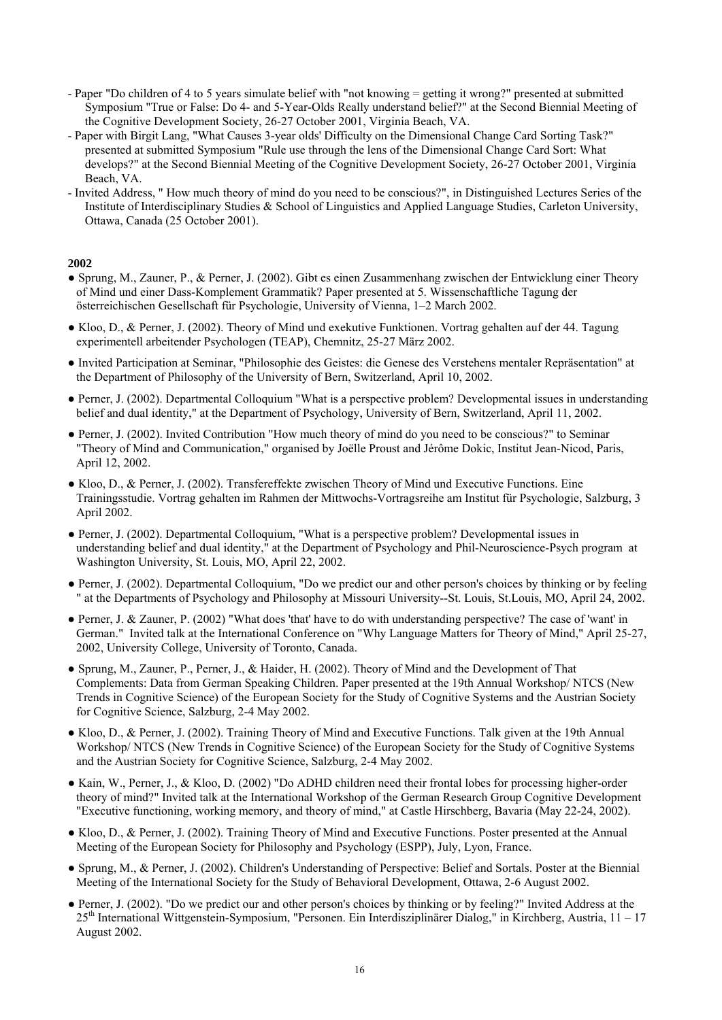- Paper "Do children of 4 to 5 years simulate belief with "not knowing = getting it wrong?" presented at submitted Symposium "True or False: Do 4- and 5-Year-Olds Really understand belief?" at the Second Biennial Meeting of the Cognitive Development Society, 26-27 October 2001, Virginia Beach, VA.
- Paper with Birgit Lang, "What Causes 3-year olds' Difficulty on the Dimensional Change Card Sorting Task?" presented at submitted Symposium "Rule use through the lens of the Dimensional Change Card Sort: What develops?" at the Second Biennial Meeting of the Cognitive Development Society, 26-27 October 2001, Virginia Beach, VA.
- Invited Address, " How much theory of mind do you need to be conscious?", in Distinguished Lectures Series of the Institute of Interdisciplinary Studies & School of Linguistics and Applied Language Studies, Carleton University, Ottawa, Canada (25 October 2001).

- Sprung, M., Zauner, P., & Perner, J. (2002). Gibt es einen Zusammenhang zwischen der Entwicklung einer Theory of Mind und einer Dass-Komplement Grammatik? Paper presented at 5. Wissenschaftliche Tagung der österreichischen Gesellschaft für Psychologie, University of Vienna, 1–2 March 2002.
- Kloo, D., & Perner, J. (2002). Theory of Mind und exekutive Funktionen. Vortrag gehalten auf der 44. Tagung experimentell arbeitender Psychologen (TEAP), Chemnitz, 25-27 März 2002.
- Invited Participation at Seminar, "Philosophie des Geistes: die Genese des Verstehens mentaler Repräsentation" at the Department of Philosophy of the University of Bern, Switzerland, April 10, 2002.
- Perner, J. (2002). Departmental Colloquium "What is a perspective problem? Developmental issues in understanding belief and dual identity," at the Department of Psychology, University of Bern, Switzerland, April 11, 2002.
- Perner, J. (2002). Invited Contribution "How much theory of mind do you need to be conscious?" to Seminar "Theory of Mind and Communication," organised by Joëlle Proust and Jérôme Dokic, Institut Jean-Nicod, Paris, April 12, 2002.
- Kloo, D., & Perner, J. (2002). Transfereffekte zwischen Theory of Mind und Executive Functions. Eine Trainingsstudie. Vortrag gehalten im Rahmen der Mittwochs-Vortragsreihe am Institut für Psychologie, Salzburg, 3 April 2002.
- Perner, J. (2002). Departmental Colloquium, "What is a perspective problem? Developmental issues in understanding belief and dual identity," at the Department of Psychology and Phil-Neuroscience-Psych program at Washington University, St. Louis, MO, April 22, 2002.
- Perner, J. (2002). Departmental Colloquium, "Do we predict our and other person's choices by thinking or by feeling " at the Departments of Psychology and Philosophy at Missouri University--St. Louis, St.Louis, MO, April 24, 2002.
- Perner, J. & Zauner, P. (2002) "What does 'that' have to do with understanding perspective? The case of 'want' in German." Invited talk at the International Conference on "Why Language Matters for Theory of Mind," April 25-27, 2002, University College, University of Toronto, Canada.
- Sprung, M., Zauner, P., Perner, J., & Haider, H. (2002). Theory of Mind and the Development of That Complements: Data from German Speaking Children. Paper presented at the 19th Annual Workshop/ NTCS (New Trends in Cognitive Science) of the European Society for the Study of Cognitive Systems and the Austrian Society for Cognitive Science, Salzburg, 2-4 May 2002.
- Kloo, D., & Perner, J. (2002). Training Theory of Mind and Executive Functions. Talk given at the 19th Annual Workshop/ NTCS (New Trends in Cognitive Science) of the European Society for the Study of Cognitive Systems and the Austrian Society for Cognitive Science, Salzburg, 2-4 May 2002.
- Kain, W., Perner, J., & Kloo, D. (2002) "Do ADHD children need their frontal lobes for processing higher-order theory of mind?" Invited talk at the International Workshop of the German Research Group Cognitive Development "Executive functioning, working memory, and theory of mind," at Castle Hirschberg, Bavaria (May 22-24, 2002).
- Kloo, D., & Perner, J. (2002). Training Theory of Mind and Executive Functions. Poster presented at the Annual Meeting of the European Society for Philosophy and Psychology (ESPP), July, Lyon, France.
- Sprung, M., & Perner, J. (2002). Children's Understanding of Perspective: Belief and Sortals. Poster at the Biennial Meeting of the International Society for the Study of Behavioral Development, Ottawa, 2-6 August 2002.
- Perner, J. (2002). "Do we predict our and other person's choices by thinking or by feeling?" Invited Address at the  $25<sup>th</sup>$  International Wittgenstein-Symposium, "Personen. Ein Interdisziplinärer Dialog," in Kirchberg, Austria, 11 – 17 August 2002.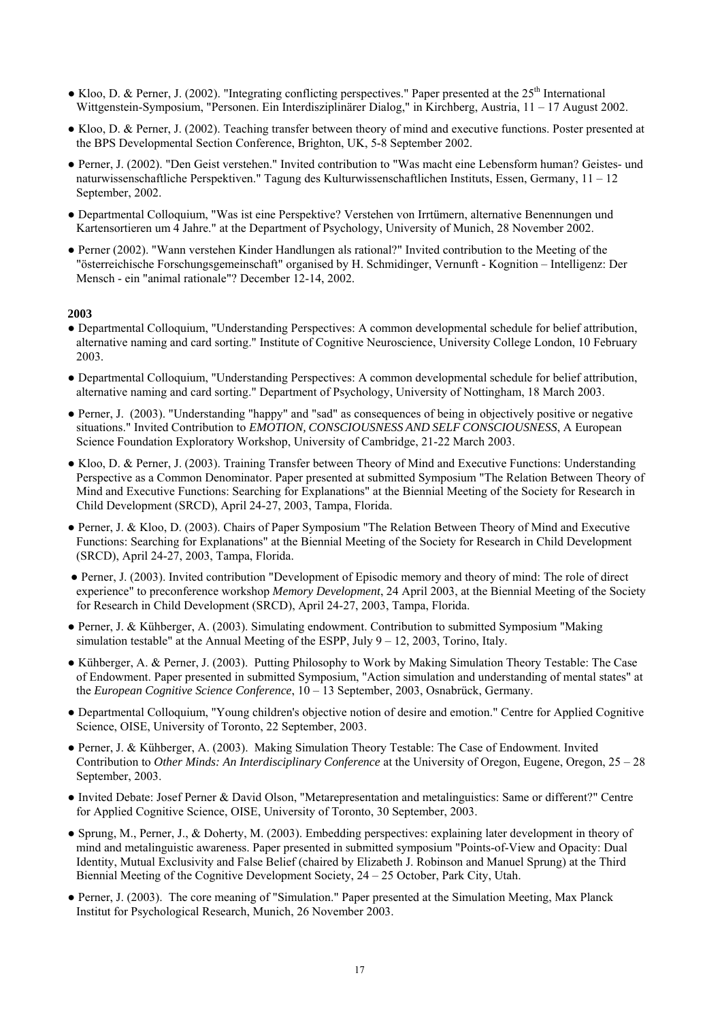- $\bullet$  Kloo, D. & Perner, J. (2002). "Integrating conflicting perspectives." Paper presented at the 25<sup>th</sup> International Wittgenstein-Symposium, "Personen. Ein Interdisziplinärer Dialog," in Kirchberg, Austria, 11 – 17 August 2002.
- Kloo, D. & Perner, J. (2002). Teaching transfer between theory of mind and executive functions. Poster presented at the BPS Developmental Section Conference, Brighton, UK, 5-8 September 2002.
- Perner, J. (2002). "Den Geist verstehen." Invited contribution to "Was macht eine Lebensform human? Geistes- und naturwissenschaftliche Perspektiven." Tagung des Kulturwissenschaftlichen Instituts, Essen, Germany, 11 – 12 September, 2002.
- Departmental Colloquium, "Was ist eine Perspektive? Verstehen von Irrtümern, alternative Benennungen und Kartensortieren um 4 Jahre." at the Department of Psychology, University of Munich, 28 November 2002.
- Perner (2002). "Wann verstehen Kinder Handlungen als rational?" Invited contribution to the Meeting of the "österreichische Forschungsgemeinschaft" organised by H. Schmidinger, Vernunft - Kognition – Intelligenz: Der Mensch - ein "animal rationale"? December 12-14, 2002.

- Departmental Colloquium, "Understanding Perspectives: A common developmental schedule for belief attribution, alternative naming and card sorting." Institute of Cognitive Neuroscience, University College London, 10 February 2003.
- Departmental Colloquium, "Understanding Perspectives: A common developmental schedule for belief attribution, alternative naming and card sorting." Department of Psychology, University of Nottingham, 18 March 2003.
- Perner, J. (2003). "Understanding "happy" and "sad" as consequences of being in objectively positive or negative situations." Invited Contribution to *EMOTION, CONSCIOUSNESS AND SELF CONSCIOUSNESS*, A European Science Foundation Exploratory Workshop, University of Cambridge, 21-22 March 2003.
- Kloo, D. & Perner, J. (2003). Training Transfer between Theory of Mind and Executive Functions: Understanding Perspective as a Common Denominator. Paper presented at submitted Symposium "The Relation Between Theory of Mind and Executive Functions: Searching for Explanations" at the Biennial Meeting of the Society for Research in Child Development (SRCD), April 24-27, 2003, Tampa, Florida.
- Perner, J. & Kloo, D. (2003). Chairs of Paper Symposium "The Relation Between Theory of Mind and Executive Functions: Searching for Explanations" at the Biennial Meeting of the Society for Research in Child Development (SRCD), April 24-27, 2003, Tampa, Florida.
- Perner, J. (2003). Invited contribution "Development of Episodic memory and theory of mind: The role of direct experience" to preconference workshop *Memory Development*, 24 April 2003, at the Biennial Meeting of the Society for Research in Child Development (SRCD), April 24-27, 2003, Tampa, Florida.
- Perner, J. & Kühberger, A. (2003). Simulating endowment. Contribution to submitted Symposium "Making simulation testable" at the Annual Meeting of the ESPP, July 9 – 12, 2003, Torino, Italy.
- Kühberger, A. & Perner, J. (2003). Putting Philosophy to Work by Making Simulation Theory Testable: The Case of Endowment. Paper presented in submitted Symposium, "Action simulation and understanding of mental states" at the *European Cognitive Science Conference*, 10 – 13 September, 2003, Osnabrück, Germany.
- Departmental Colloquium, "Young children's objective notion of desire and emotion." Centre for Applied Cognitive Science, OISE, University of Toronto, 22 September, 2003.
- Perner, J. & Kühberger, A. (2003). Making Simulation Theory Testable: The Case of Endowment. Invited Contribution to *Other Minds: An Interdisciplinary Conference* at the University of Oregon, Eugene, Oregon, 25 – 28 September, 2003.
- Invited Debate: Josef Perner & David Olson, "Metarepresentation and metalinguistics: Same or different?" Centre for Applied Cognitive Science, OISE, University of Toronto, 30 September, 2003.
- Sprung, M., Perner, J., & Doherty, M. (2003). Embedding perspectives: explaining later development in theory of mind and metalinguistic awareness. Paper presented in submitted symposium "Points-of-View and Opacity: Dual Identity, Mutual Exclusivity and False Belief (chaired by Elizabeth J. Robinson and Manuel Sprung) at the Third Biennial Meeting of the Cognitive Development Society, 24 – 25 October, Park City, Utah.
- Perner, J. (2003). The core meaning of "Simulation." Paper presented at the Simulation Meeting, Max Planck Institut for Psychological Research, Munich, 26 November 2003.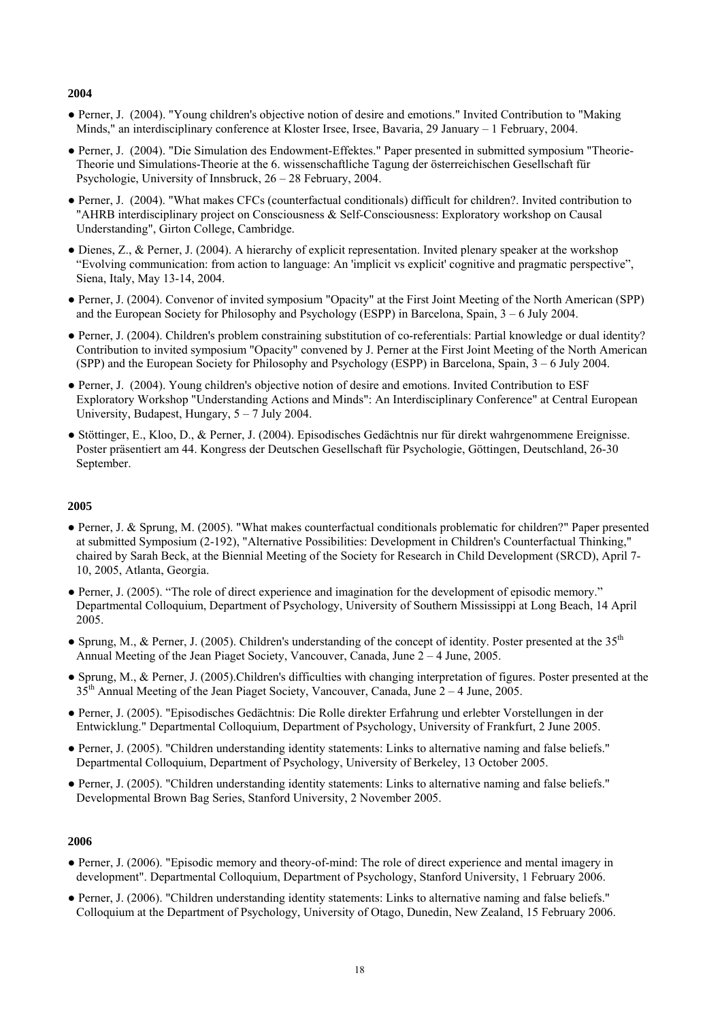- Perner, J. (2004). "Young children's objective notion of desire and emotions." Invited Contribution to "Making Minds," an interdisciplinary conference at Kloster Irsee, Irsee, Bavaria, 29 January – 1 February, 2004.
- Perner, J. (2004). "Die Simulation des Endowment-Effektes." Paper presented in submitted symposium "Theorie-Theorie und Simulations-Theorie at the 6. wissenschaftliche Tagung der österreichischen Gesellschaft für Psychologie, University of Innsbruck, 26 – 28 February, 2004.
- Perner, J. (2004). "What makes CFCs (counterfactual conditionals) difficult for children?. Invited contribution to "AHRB interdisciplinary project on Consciousness & Self-Consciousness: Exploratory workshop on Causal Understanding", Girton College, Cambridge.
- Dienes, Z., & Perner, J. (2004). A hierarchy of explicit representation. Invited plenary speaker at the workshop "Evolving communication: from action to language: An 'implicit vs explicit' cognitive and pragmatic perspective", Siena, Italy, May 13-14, 2004.
- Perner, J. (2004). Convenor of invited symposium "Opacity" at the First Joint Meeting of the North American (SPP) and the European Society for Philosophy and Psychology (ESPP) in Barcelona, Spain, 3 – 6 July 2004.
- Perner, J. (2004). Children's problem constraining substitution of co-referentials: Partial knowledge or dual identity? Contribution to invited symposium "Opacity" convened by J. Perner at the First Joint Meeting of the North American (SPP) and the European Society for Philosophy and Psychology (ESPP) in Barcelona, Spain, 3 – 6 July 2004.
- Perner, J. (2004). Young children's objective notion of desire and emotions. Invited Contribution to ESF Exploratory Workshop "Understanding Actions and Minds": An Interdisciplinary Conference" at Central European University, Budapest, Hungary, 5 – 7 July 2004.
- Stöttinger, E., Kloo, D., & Perner, J. (2004). Episodisches Gedächtnis nur für direkt wahrgenommene Ereignisse. Poster präsentiert am 44. Kongress der Deutschen Gesellschaft für Psychologie, Göttingen, Deutschland, 26-30 September.

# **2005**

- Perner, J. & Sprung, M. (2005). "What makes counterfactual conditionals problematic for children?" Paper presented at submitted Symposium (2-192), "Alternative Possibilities: Development in Children's Counterfactual Thinking," chaired by Sarah Beck, at the Biennial Meeting of the Society for Research in Child Development (SRCD), April 7- 10, 2005, Atlanta, Georgia.
- Perner, J. (2005). "The role of direct experience and imagination for the development of episodic memory." Departmental Colloquium, Department of Psychology, University of Southern Mississippi at Long Beach, 14 April 2005.
- Sprung, M., & Perner, J. (2005). Children's understanding of the concept of identity. Poster presented at the 35<sup>th</sup> Annual Meeting of the Jean Piaget Society, Vancouver, Canada, June 2 – 4 June, 2005.
- Sprung, M., & Perner, J. (2005).Children's difficulties with changing interpretation of figures. Poster presented at the  $35<sup>th</sup>$  Annual Meeting of the Jean Piaget Society, Vancouver, Canada, June 2 – 4 June, 2005.
- Perner, J. (2005). "Episodisches Gedächtnis: Die Rolle direkter Erfahrung und erlebter Vorstellungen in der Entwicklung." Departmental Colloquium, Department of Psychology, University of Frankfurt, 2 June 2005.
- Perner, J. (2005). "Children understanding identity statements: Links to alternative naming and false beliefs." Departmental Colloquium, Department of Psychology, University of Berkeley, 13 October 2005.
- Perner, J. (2005). "Children understanding identity statements: Links to alternative naming and false beliefs." Developmental Brown Bag Series, Stanford University, 2 November 2005.

- Perner, J. (2006). "Episodic memory and theory-of-mind: The role of direct experience and mental imagery in development". Departmental Colloquium, Department of Psychology, Stanford University, 1 February 2006.
- Perner, J. (2006). "Children understanding identity statements: Links to alternative naming and false beliefs." Colloquium at the Department of Psychology, University of Otago, Dunedin, New Zealand, 15 February 2006.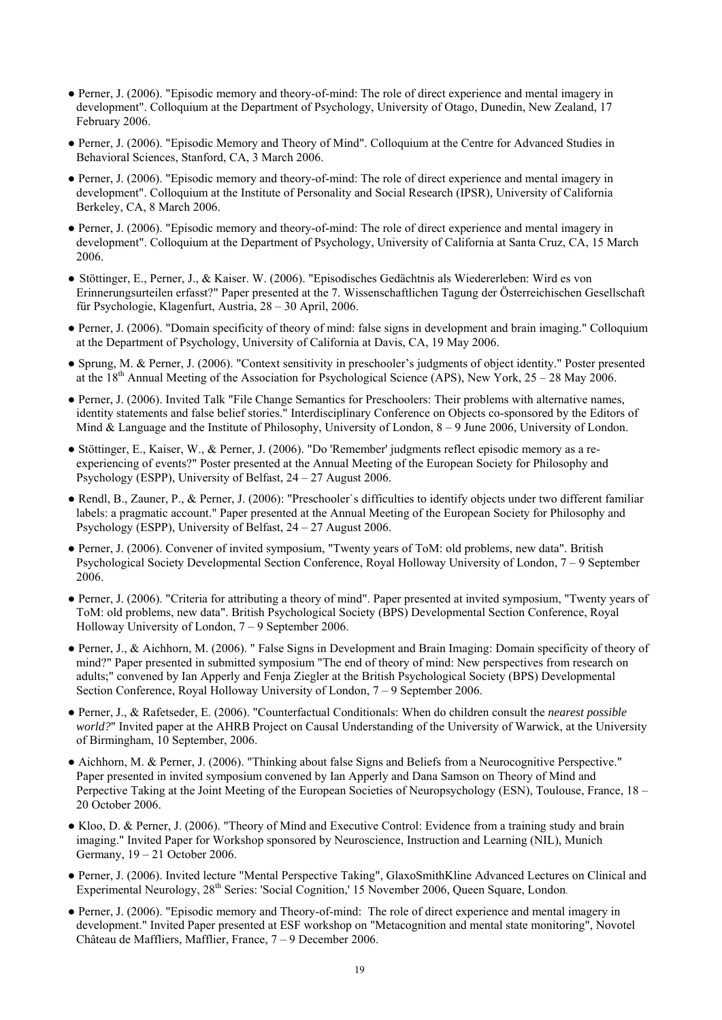- Perner, J. (2006). "Episodic memory and theory-of-mind: The role of direct experience and mental imagery in development". Colloquium at the Department of Psychology, University of Otago, Dunedin, New Zealand, 17 February 2006.
- Perner, J. (2006). "Episodic Memory and Theory of Mind". Colloquium at the Centre for Advanced Studies in Behavioral Sciences, Stanford, CA, 3 March 2006.
- Perner, J. (2006). "Episodic memory and theory-of-mind: The role of direct experience and mental imagery in development". Colloquium at the Institute of Personality and Social Research (IPSR), University of California Berkeley, CA, 8 March 2006.
- Perner, J. (2006). "Episodic memory and theory-of-mind: The role of direct experience and mental imagery in development". Colloquium at the Department of Psychology, University of California at Santa Cruz, CA, 15 March 2006.
- Stöttinger, E., Perner, J., & Kaiser. W. (2006). "Episodisches Gedächtnis als Wiedererleben: Wird es von Erinnerungsurteilen erfasst?" Paper presented at the 7. Wissenschaftlichen Tagung der Österreichischen Gesellschaft für Psychologie, Klagenfurt, Austria, 28 – 30 April, 2006.
- Perner, J. (2006). "Domain specificity of theory of mind: false signs in development and brain imaging." Colloquium at the Department of Psychology, University of California at Davis, CA, 19 May 2006.
- Sprung, M. & Perner, J. (2006). "Context sensitivity in preschooler's judgments of object identity." Poster presented at the 18<sup>th</sup> Annual Meeting of the Association for Psychological Science (APS), New York,  $25 - 28$  May 2006.
- Perner, J. (2006). Invited Talk "File Change Semantics for Preschoolers: Their problems with alternative names, identity statements and false belief stories." Interdisciplinary Conference on Objects co-sponsored by the Editors of Mind & Language and the Institute of Philosophy, University of London,  $8 - 9$  June 2006, University of London.
- Stöttinger, E., Kaiser, W., & Perner, J. (2006). "Do 'Remember' judgments reflect episodic memory as a reexperiencing of events?" Poster presented at the Annual Meeting of the European Society for Philosophy and Psychology (ESPP), University of Belfast, 24 – 27 August 2006.
- Rendl, B., Zauner, P., & Perner, J. (2006): "Preschooler`s difficulties to identify objects under two different familiar labels: a pragmatic account." Paper presented at the Annual Meeting of the European Society for Philosophy and Psychology (ESPP), University of Belfast, 24 – 27 August 2006.
- Perner, J. (2006). Convener of invited symposium, "Twenty years of ToM: old problems, new data". British Psychological Society Developmental Section Conference, Royal Holloway University of London, 7 – 9 September 2006.
- Perner, J. (2006). "Criteria for attributing a theory of mind". Paper presented at invited symposium, "Twenty years of ToM: old problems, new data". British Psychological Society (BPS) Developmental Section Conference, Royal Holloway University of London, 7 – 9 September 2006.
- Perner, J., & Aichhorn, M. (2006). " False Signs in Development and Brain Imaging: Domain specificity of theory of mind?" Paper presented in submitted symposium "The end of theory of mind: New perspectives from research on adults;" convened by Ian Apperly and Fenja Ziegler at the British Psychological Society (BPS) Developmental Section Conference, Royal Holloway University of London, 7 – 9 September 2006.
- Perner, J., & Rafetseder, E. (2006). "Counterfactual Conditionals: When do children consult the *nearest possible world?*" Invited paper at the AHRB Project on Causal Understanding of the University of Warwick, at the University of Birmingham, 10 September, 2006.
- Aichhorn, M. & Perner, J. (2006). "Thinking about false Signs and Beliefs from a Neurocognitive Perspective." Paper presented in invited symposium convened by Ian Apperly and Dana Samson on Theory of Mind and Perpective Taking at the Joint Meeting of the European Societies of Neuropsychology (ESN), Toulouse, France, 18 – 20 October 2006.
- Kloo, D. & Perner, J. (2006). "Theory of Mind and Executive Control: Evidence from a training study and brain imaging." Invited Paper for Workshop sponsored by Neuroscience, Instruction and Learning (NIL), Munich Germany, 19 – 21 October 2006.
- Perner, J. (2006). Invited lecture "Mental Perspective Taking", GlaxoSmithKline Advanced Lectures on Clinical and Experimental Neurology, 28<sup>th</sup> Series: 'Social Cognition,' 15 November 2006, Queen Square, London.
- Perner, J. (2006). "Episodic memory and Theory-of-mind: The role of direct experience and mental imagery in development." Invited Paper presented at ESF workshop on "Metacognition and mental state monitoring", Novotel Château de Maffliers, Mafflier, France, 7 – 9 December 2006.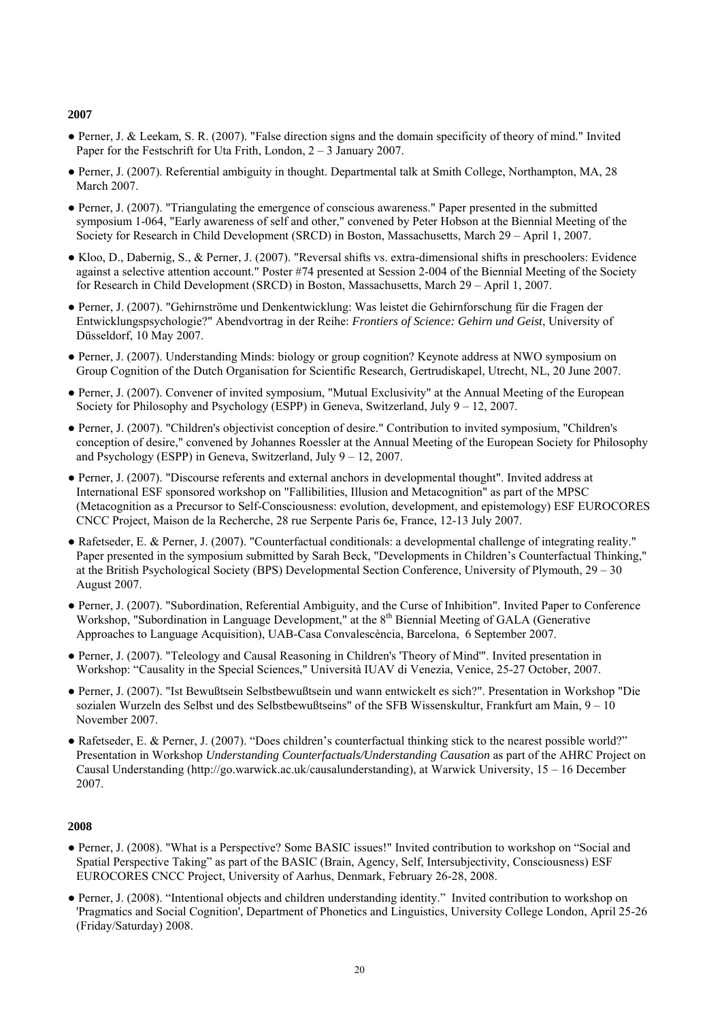- Perner, J. & Leekam, S. R. (2007). "False direction signs and the domain specificity of theory of mind." Invited Paper for the Festschrift for Uta Frith, London, 2 – 3 January 2007.
- Perner, J. (2007). Referential ambiguity in thought. Departmental talk at Smith College, Northampton, MA, 28 March 2007.
- Perner, J. (2007). "Triangulating the emergence of conscious awareness." Paper presented in the submitted symposium 1-064, "Early awareness of self and other," convened by Peter Hobson at the Biennial Meeting of the Society for Research in Child Development (SRCD) in Boston, Massachusetts, March 29 – April 1, 2007.
- Kloo, D., Dabernig, S., & Perner, J. (2007). "Reversal shifts vs. extra-dimensional shifts in preschoolers: Evidence against a selective attention account." Poster #74 presented at Session 2-004 of the Biennial Meeting of the Society for Research in Child Development (SRCD) in Boston, Massachusetts, March 29 – April 1, 2007.
- Perner, J. (2007). "Gehirnströme und Denkentwicklung: Was leistet die Gehirnforschung für die Fragen der Entwicklungspsychologie?" Abendvortrag in der Reihe: *Frontiers of Science: Gehirn und Geist*, University of Düsseldorf, 10 May 2007.
- Perner, J. (2007). Understanding Minds: biology or group cognition? Keynote address at NWO symposium on Group Cognition of the Dutch Organisation for Scientific Research, Gertrudiskapel, Utrecht, NL, 20 June 2007.
- Perner, J. (2007). Convener of invited symposium, "Mutual Exclusivity" at the Annual Meeting of the European Society for Philosophy and Psychology (ESPP) in Geneva, Switzerland, July  $9 - 12$ , 2007.
- Perner, J. (2007). "Children's objectivist conception of desire." Contribution to invited symposium, "Children's conception of desire," convened by Johannes Roessler at the Annual Meeting of the European Society for Philosophy and Psychology (ESPP) in Geneva, Switzerland, July  $9 - 12$ , 2007.
- Perner, J. (2007). "Discourse referents and external anchors in developmental thought". Invited address at International ESF sponsored workshop on "Fallibilities, Illusion and Metacognition" as part of the MPSC (Metacognition as a Precursor to Self-Consciousness: evolution, development, and epistemology) ESF EUROCORES CNCC Project, Maison de la Recherche, 28 rue Serpente Paris 6e, France, 12-13 July 2007.
- Rafetseder, E. & Perner, J. (2007). "Counterfactual conditionals: a developmental challenge of integrating reality." Paper presented in the symposium submitted by Sarah Beck, "Developments in Children's Counterfactual Thinking," at the British Psychological Society (BPS) Developmental Section Conference, University of Plymouth, 29 – 30 August 2007.
- Perner, J. (2007). "Subordination, Referential Ambiguity, and the Curse of Inhibition". Invited Paper to Conference Workshop, "Subordination in Language Development," at the 8<sup>th</sup> Biennial Meeting of GALA (Generative Approaches to Language Acquisition), UAB-Casa Convalescència, Barcelona, 6 September 2007.
- Perner, J. (2007). "Teleology and Causal Reasoning in Children's 'Theory of Mind'". Invited presentation in Workshop: "Causality in the Special Sciences," Università IUAV di Venezia, Venice, 25-27 October, 2007.
- Perner, J. (2007). "Ist Bewußtsein Selbstbewußtsein und wann entwickelt es sich?". Presentation in Workshop "Die sozialen Wurzeln des Selbst und des Selbstbewußtseins" of the SFB Wissenskultur, Frankfurt am Main, 9 – 10 November 2007.
- Rafetseder, E. & Perner, J. (2007). "Does children's counterfactual thinking stick to the nearest possible world?" Presentation in Workshop *Understanding Counterfactuals/Understanding Causation* as part of the AHRC Project on Causal Understanding ([http://go.warwick.ac.uk/causalunderstanding\)](http://go.warwick.ac.uk/causalunderstanding), at Warwick University, 15 – 16 December 2007.

- Perner, J. (2008). "What is a Perspective? Some BASIC issues!" Invited contribution to workshop on "Social and Spatial Perspective Taking" as part of the BASIC (Brain, Agency, Self, Intersubjectivity, Consciousness) ESF EUROCORES CNCC Project, University of Aarhus, Denmark, February 26-28, 2008.
- Perner, J. (2008). "Intentional objects and children understanding identity." Invited contribution to workshop on 'Pragmatics and Social Cognition', Department of Phonetics and Linguistics, University College London, April 25-26 (Friday/Saturday) 2008.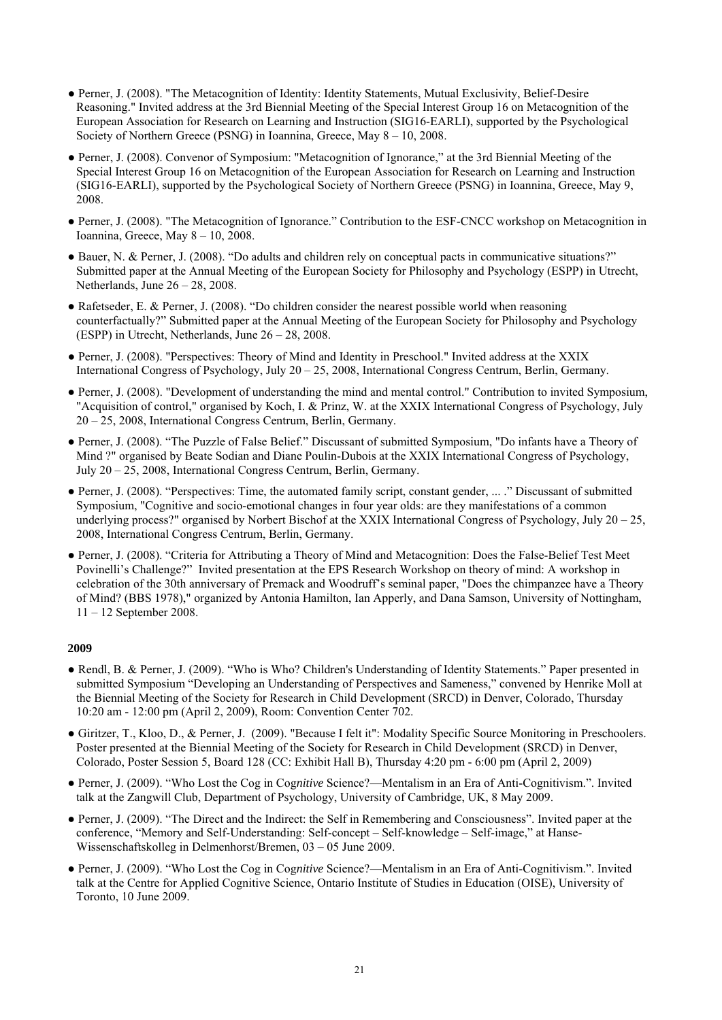- Perner, J. (2008). "The Metacognition of Identity: Identity Statements, Mutual Exclusivity, Belief-Desire Reasoning." Invited address at the 3rd Biennial Meeting of the Special Interest Group 16 on Metacognition of the European Association for Research on Learning and Instruction (SIG16-EARLI), supported by the Psychological Society of Northern Greece (PSNG) in Ioannina, Greece, May 8 – 10, 2008.
- Perner, J. (2008). Convenor of Symposium: "Metacognition of Ignorance," at the 3rd Biennial Meeting of the Special Interest Group 16 on Metacognition of the European Association for Research on Learning and Instruction (SIG16-EARLI), supported by the Psychological Society of Northern Greece (PSNG) in Ioannina, Greece, May 9, 2008.
- Perner, J. (2008). "The Metacognition of Ignorance." Contribution to the ESF-CNCC workshop on Metacognition in Ioannina, Greece, May 8 – 10, 2008.
- Bauer, N. & Perner, J. (2008). "Do adults and children rely on conceptual pacts in communicative situations?" Submitted paper at the Annual Meeting of the European Society for Philosophy and Psychology (ESPP) in Utrecht, Netherlands, June  $26 - 28$ , 2008.
- Rafetseder, E. & Perner, J. (2008). "Do children consider the nearest possible world when reasoning counterfactually?" Submitted paper at the Annual Meeting of the European Society for Philosophy and Psychology (ESPP) in Utrecht, Netherlands, June 26 – 28, 2008.
- Perner, J. (2008). "Perspectives: Theory of Mind and Identity in Preschool." Invited address at the XXIX International Congress of Psychology, July 20 – 25, 2008, International Congress Centrum, Berlin, Germany.
- Perner, J. (2008). "Development of understanding the mind and mental control." Contribution to invited Symposium, "Acquisition of control," organised by Koch, I. & Prinz, W. at the XXIX International Congress of Psychology, July 20 – 25, 2008, International Congress Centrum, Berlin, Germany.
- Perner, J. (2008). "The Puzzle of False Belief." Discussant of submitted Symposium, "Do infants have a Theory of Mind ?" organised by Beate Sodian and Diane Poulin-Dubois at the XXIX International Congress of Psychology, July 20 – 25, 2008, International Congress Centrum, Berlin, Germany.
- Perner, J. (2008). "Perspectives: Time, the automated family script, constant gender, ... ." Discussant of submitted Symposium, "Cognitive and socio-emotional changes in four year olds: are they manifestations of a common underlying process?" organised by Norbert Bischof at the XXIX International Congress of Psychology, July  $20 - 25$ , 2008, International Congress Centrum, Berlin, Germany.
- Perner, J. (2008). "Criteria for Attributing a Theory of Mind and Metacognition: Does the False-Belief Test Meet Povinelli's Challenge?" Invited presentation at the EPS Research Workshop on theory of mind: A workshop in celebration of the 30th anniversary of Premack and Woodruff's seminal paper, "Does the chimpanzee have a Theory of Mind? (BBS 1978)," organized by Antonia Hamilton, Ian Apperly, and Dana Samson, University of Nottingham, 11 – 12 September 2008.

- Rendl, B. & Perner, J. (2009). "Who is Who? Children's Understanding of Identity Statements." Paper presented in submitted Symposium "Developing an Understanding of Perspectives and Sameness," convened by Henrike Moll at the Biennial Meeting of the Society for Research in Child Development (SRCD) in Denver, Colorado, Thursday 10:20 am - 12:00 pm (April 2, 2009), Room: Convention Center 702.
- Giritzer, T., Kloo, D., & Perner, J. (2009). "Because I felt it": Modality Specific Source Monitoring in Preschoolers. Poster presented at the Biennial Meeting of the Society for Research in Child Development (SRCD) in Denver, Colorado, Poster Session 5, Board 128 (CC: Exhibit Hall B), Thursday 4:20 pm - 6:00 pm (April 2, 2009)
- Perner, J. (2009). "Who Lost the Cog in Cog*nitive* Science?—Mentalism in an Era of Anti-Cognitivism.". Invited talk at the Zangwill Club, Department of Psychology, University of Cambridge, UK, 8 May 2009.
- Perner, J. (2009). "The Direct and the Indirect: the Self in Remembering and Consciousness". Invited paper at the conference, "Memory and Self-Understanding: Self-concept – Self-knowledge – Self-image," at Hanse-Wissenschaftskolleg in Delmenhorst/Bremen, 03 – 05 June 2009.
- Perner, J. (2009). "Who Lost the Cog in Cog*nitive* Science?—Mentalism in an Era of Anti-Cognitivism.". Invited talk at the Centre for Applied Cognitive Science, Ontario Institute of Studies in Education (OISE), University of Toronto, 10 June 2009.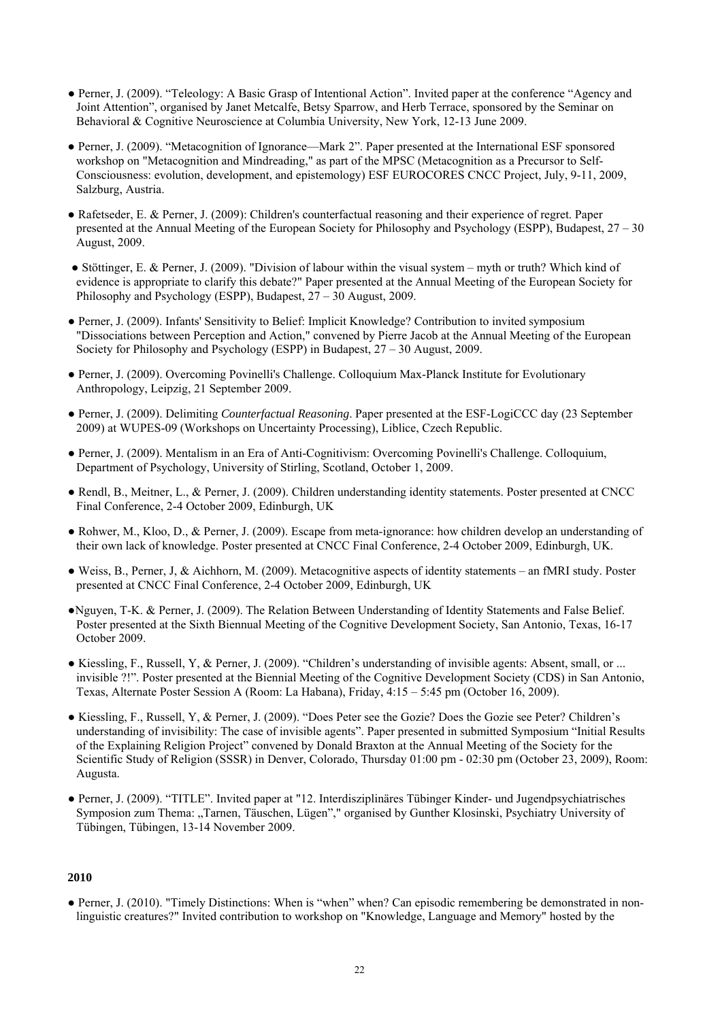- Perner, J. (2009). "Teleology: A Basic Grasp of Intentional Action". Invited paper at the conference "Agency and Joint Attention", organised by Janet Metcalfe, Betsy Sparrow, and Herb Terrace, sponsored by the Seminar on Behavioral & Cognitive Neuroscience at Columbia University, New York, 12-13 June 2009.
- Perner, J. (2009). "Metacognition of Ignorance—Mark 2". Paper presented at the International ESF sponsored workshop on "Metacognition and Mindreading," as part of the MPSC (Metacognition as a Precursor to Self-Consciousness: evolution, development, and epistemology) ESF EUROCORES CNCC Project, July, 9-11, 2009, Salzburg, Austria.
- Rafetseder, E. & Perner, J. (2009): Children's counterfactual reasoning and their experience of regret. Paper presented at the Annual Meeting of the European Society for Philosophy and Psychology (ESPP), Budapest, 27 – 30 August, 2009.
- Stöttinger, E. & Perner, J. (2009). "Division of labour within the visual system myth or truth? Which kind of evidence is appropriate to clarify this debate?" Paper presented at the Annual Meeting of the European Society for Philosophy and Psychology (ESPP), Budapest, 27 – 30 August, 2009.
- Perner, J. (2009). Infants' Sensitivity to Belief: Implicit Knowledge? Contribution to invited symposium "Dissociations between Perception and Action," convened by Pierre Jacob at the Annual Meeting of the European Society for Philosophy and Psychology (ESPP) in Budapest, 27 – 30 August, 2009.
- Perner, J. (2009). Overcoming Povinelli's Challenge. Colloquium Max-Planck Institute for Evolutionary Anthropology, Leipzig, 21 September 2009.
- Perner, J. (2009). Delimiting *Counterfactual Reasoning*. Paper presented at the ESF-LogiCCC day (23 September 2009) at WUPES-09 (Workshops on Uncertainty Processing), Liblice, Czech Republic.
- Perner, J. (2009). Mentalism in an Era of Anti-Cognitivism: Overcoming Povinelli's Challenge. Colloquium, Department of Psychology, University of Stirling, Scotland, October 1, 2009.
- Rendl, B., Meitner, L., & Perner, J. (2009). Children understanding identity statements. Poster presented at CNCC Final Conference, 2-4 October 2009, Edinburgh, UK
- Rohwer, M., Kloo, D., & Perner, J. (2009). Escape from meta-ignorance: how children develop an understanding of their own lack of knowledge. Poster presented at CNCC Final Conference, 2-4 October 2009, Edinburgh, UK.
- Weiss, B., Perner, J, & Aichhorn, M. (2009). Metacognitive aspects of identity statements an fMRI study. Poster presented at CNCC Final Conference, 2-4 October 2009, Edinburgh, UK
- ●Nguyen, T-K. & Perner, J. (2009). The Relation Between Understanding of Identity Statements and False Belief. Poster presented at the Sixth Biennual Meeting of the Cognitive Development Society, San Antonio, Texas, 16-17 October 2009.
- Kiessling, F., Russell, Y, & Perner, J. (2009). "Children's understanding of invisible agents: Absent, small, or ... invisible ?!". Poster presented at the Biennial Meeting of the Cognitive Development Society (CDS) in San Antonio, Texas, Alternate Poster Session A (Room: La Habana), Friday, 4:15 – 5:45 pm (October 16, 2009).
- Kiessling, F., Russell, Y, & Perner, J. (2009). "Does Peter see the Gozie? Does the Gozie see Peter? Children's understanding of invisibility: The case of invisible agents". Paper presented in submitted Symposium "Initial Results of the Explaining Religion Project" convened by Donald Braxton at the Annual Meeting of the Society for the Scientific Study of Religion (SSSR) in Denver, Colorado, Thursday 01:00 pm - 02:30 pm (October 23, 2009), Room: Augusta.
- Perner, J. (2009). "TITLE". Invited paper at "12. Interdisziplinäres Tübinger Kinder- und Jugendpsychiatrisches Symposion zum Thema: "Tarnen, Täuschen, Lügen"," organised by Gunther Klosinski, Psychiatry University of Tübingen, Tübingen, 13-14 November 2009.

● Perner, J. (2010). "Timely Distinctions: When is "when" when? Can episodic remembering be demonstrated in nonlinguistic creatures?" Invited contribution to workshop on "Knowledge, Language and Memory" hosted by the